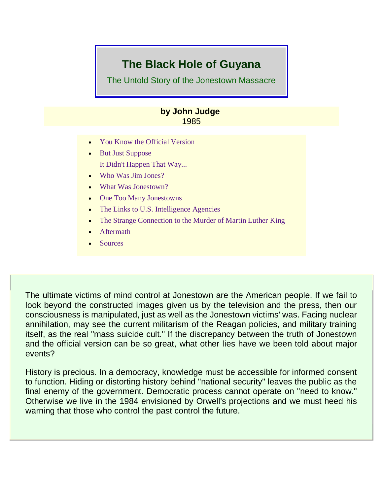# **The Black Hole of Guyana**

The Untold Story of the Jonestown Massacre

# **by John Judge** 1985

- [You Know the Official Version](https://ratical.org/ratville/JFK/JohnJudge/Jonestown.html#p1)
- [But Just Suppose](https://ratical.org/ratville/JFK/JohnJudge/Jonestown.html#p2) [It Didn't Happen That Way...](https://ratical.org/ratville/JFK/JohnJudge/Jonestown.html#p2)
- [Who Was Jim Jones?](https://ratical.org/ratville/JFK/JohnJudge/Jonestown.html#p3)
- [What Was Jonestown?](https://ratical.org/ratville/JFK/JohnJudge/Jonestown.html#p4)
- [One Too Many Jonestowns](https://ratical.org/ratville/JFK/JohnJudge/Jonestown.html#p5)
- [The Links to U.S. Intelligence Agencies](https://ratical.org/ratville/JFK/JohnJudge/Jonestown.html#p6)
- [The Strange Connection to the Murder of Martin Luther King](https://ratical.org/ratville/JFK/JohnJudge/Jonestown.html#p7)
- [Aftermath](https://ratical.org/ratville/JFK/JohnJudge/Jonestown.html#p8)
- [Sources](https://ratical.org/ratville/JFK/JohnJudge/Jonestown.html#p9)

The ultimate victims of mind control at Jonestown are the American people. If we fail to look beyond the constructed images given us by the television and the press, then our consciousness is manipulated, just as well as the Jonestown victims' was. Facing nuclear annihilation, may see the current militarism of the Reagan policies, and military training itself, as the real "mass suicide cult." If the discrepancy between the truth of Jonestown and the official version can be so great, what other lies have we been told about major events?

History is precious. In a democracy, knowledge must be accessible for informed consent to function. Hiding or distorting history behind "national security" leaves the public as the final enemy of the government. Democratic process cannot operate on "need to know." Otherwise we live in the 1984 envisioned by Orwell's projections and we must heed his warning that those who control the past control the future.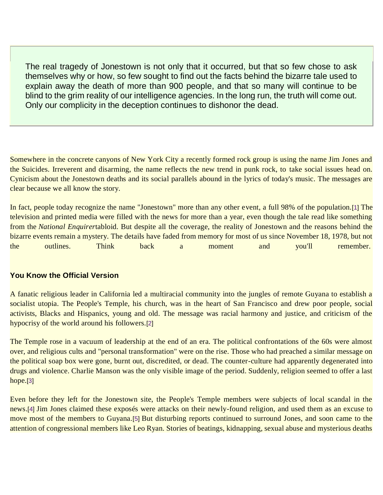The real tragedy of Jonestown is not only that it occurred, but that so few chose to ask themselves why or how, so few sought to find out the facts behind the bizarre tale used to explain away the death of more than 900 people, and that so many will continue to be blind to the grim reality of our intelligence agencies. In the long run, the truth will come out. Only our complicity in the deception continues to dishonor the dead.

Somewhere in the concrete canyons of New York City a recently formed rock group is using the name Jim Jones and the Suicides. Irreverent and disarming, the name reflects the new trend in punk rock, to take social issues head on. Cynicism about the Jonestown deaths and its social parallels abound in the lyrics of today's music. The messages are clear because we all know the story.

In fact, people today recognize the name "Jonestown" more than any other event, a full 98% of the population.[\[1\]](https://ratical.org/ratville/JFK/JohnJudge/Jonestown.html#fn1) The television and printed media were filled with the news for more than a year, even though the tale read like something from the *National Enquirer*tabloid. But despite all the coverage, the reality of Jonestown and the reasons behind the bizarre events remain a mystery. The details have faded from memory for most of us since November 18, 1978, but not the outlines. Think back a moment and you'll remember.

### **You Know the Official Version**

A fanatic religious leader in California led a multiracial community into the jungles of remote Guyana to establish a socialist utopia. The People's Temple, his church, was in the heart of San Francisco and drew poor people, social activists, Blacks and Hispanics, young and old. The message was racial harmony and justice, and criticism of the hypocrisy of the world around his followers.[\[2\]](https://ratical.org/ratville/JFK/JohnJudge/Jonestown.html#fn2)

The Temple rose in a vacuum of leadership at the end of an era. The political confrontations of the 60s were almost over, and religious cults and "personal transformation" were on the rise. Those who had preached a similar message on the political soap box were gone, burnt out, discredited, or dead. The counter-culture had apparently degenerated into drugs and violence. Charlie Manson was the only visible image of the period. Suddenly, religion seemed to offer a last hope.[\[3\]](https://ratical.org/ratville/JFK/JohnJudge/Jonestown.html#fn3)

Even before they left for the Jonestown site, the People's Temple members were subjects of local scandal in the news.[\[4\]](https://ratical.org/ratville/JFK/JohnJudge/Jonestown.html#fn4) Jim Jones claimed these exposés were attacks on their newly-found religion, and used them as an excuse to move most of the members to Guyana.[\[5\]](https://ratical.org/ratville/JFK/JohnJudge/Jonestown.html#fn5) But disturbing reports continued to surround Jones, and soon came to the attention of congressional members like Leo Ryan. Stories of beatings, kidnapping, sexual abuse and mysterious deaths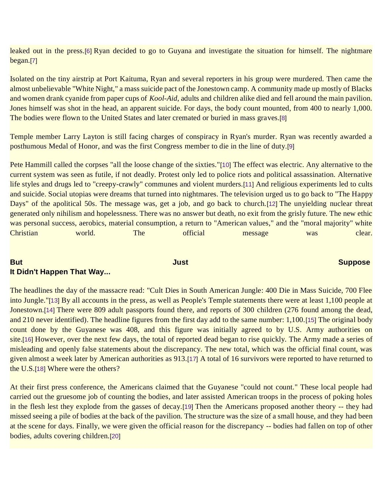leaked out in the press.[\[6\]](https://ratical.org/ratville/JFK/JohnJudge/Jonestown.html#fn6) Ryan decided to go to Guyana and investigate the situation for himself. The nightmare began.[\[7\]](https://ratical.org/ratville/JFK/JohnJudge/Jonestown.html#fn7)

Isolated on the tiny airstrip at Port Kaituma, Ryan and several reporters in his group were murdered. Then came the almost unbelievable "White Night," a mass suicide pact of the Jonestown camp. A community made up mostly of Blacks and women drank cyanide from paper cups of *Kool-Aid*, adults and children alike died and fell around the main pavilion. Jones himself was shot in the head, an apparent suicide. For days, the body count mounted, from 400 to nearly 1,000. The bodies were flown to the United States and later cremated or buried in mass graves.[\[8\]](https://ratical.org/ratville/JFK/JohnJudge/Jonestown.html#fn8)

Temple member Larry Layton is still facing charges of conspiracy in Ryan's murder. Ryan was recently awarded a posthumous Medal of Honor, and was the first Congress member to die in the line of duty.[\[9\]](https://ratical.org/ratville/JFK/JohnJudge/Jonestown.html#fn9)

Pete Hammill called the corpses "all the loose change of the sixties."[\[10\]](https://ratical.org/ratville/JFK/JohnJudge/Jonestown.html#fn10) The effect was electric. Any alternative to the current system was seen as futile, if not deadly. Protest only led to police riots and political assassination. Alternative life styles and drugs led to "creepy-crawly" communes and violent murders.[\[11\]](https://ratical.org/ratville/JFK/JohnJudge/Jonestown.html#fn11) And religious experiments led to cults and suicide. Social utopias were dreams that turned into nightmares. The television urged us to go back to "The Happy Days" of the apolitical 50s. The message was, get a job, and go back to church.[\[12\]](https://ratical.org/ratville/JFK/JohnJudge/Jonestown.html#fn12) The unyielding nuclear threat generated only nihilism and hopelessness. There was no answer but death, no exit from the grisly future. The new ethic was personal success, aerobics, material consumption, a return to "American values," and the "moral majority" white Christian world. The official message was clear.

# **But Just Suppose** and the state of the state of the state of the state of the state of the state of the state of the state of the state of the state of the state of the state of the state of the state of the state of the **It Didn't Happen That Way...**

The headlines the day of the massacre read: "Cult Dies in South American Jungle: 400 Die in Mass Suicide, 700 Flee into Jungle."[\[13\]](https://ratical.org/ratville/JFK/JohnJudge/Jonestown.html#fn13) By all accounts in the press, as well as People's Temple statements there were at least 1,100 people at Jonestown.[\[14\]](https://ratical.org/ratville/JFK/JohnJudge/Jonestown.html#fn14) There were 809 adult passports found there, and reports of 300 children (276 found among the dead, and 210 never identified). The headline figures from the first day add to the same number: 1,100.[\[15\]](https://ratical.org/ratville/JFK/JohnJudge/Jonestown.html#fn15) The original body count done by the Guyanese was 408, and this figure was initially agreed to by U.S. Army authorities on site.[\[16\]](https://ratical.org/ratville/JFK/JohnJudge/Jonestown.html#fn16) However, over the next few days, the total of reported dead began to rise quickly. The Army made a series of misleading and openly false statements about the discrepancy. The new total, which was the official final count, was given almost a week later by American authorities as 913.[\[17\]](https://ratical.org/ratville/JFK/JohnJudge/Jonestown.html#fn17) A total of 16 survivors were reported to have returned to the U.S.[\[18\]](https://ratical.org/ratville/JFK/JohnJudge/Jonestown.html#fn18) Where were the others?

At their first press conference, the Americans claimed that the Guyanese "could not count." These local people had carried out the gruesome job of counting the bodies, and later assisted American troops in the process of poking holes in the flesh lest they explode from the gasses of decay.[\[19\]](https://ratical.org/ratville/JFK/JohnJudge/Jonestown.html#fn19) Then the Americans proposed another theory -- they had missed seeing a pile of bodies at the back of the pavilion. The structure was the size of a small house, and they had been at the scene for days. Finally, we were given the official reason for the discrepancy -- bodies had fallen on top of other bodies, adults covering children.[\[20\]](https://ratical.org/ratville/JFK/JohnJudge/Jonestown.html#fn20)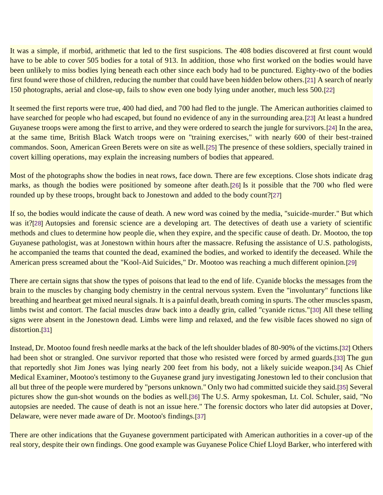It was a simple, if morbid, arithmetic that led to the first suspicions. The 408 bodies discovered at first count would have to be able to cover 505 bodies for a total of 913. In addition, those who first worked on the bodies would have been unlikely to miss bodies lying beneath each other since each body had to be punctured. Eighty-two of the bodies first found were those of children, reducing the number that could have been hidden below others.[\[21\]](https://ratical.org/ratville/JFK/JohnJudge/Jonestown.html#fn21) A search of nearly 150 photographs, aerial and close-up, fails to show even one body lying under another, much less 500.[\[22\]](https://ratical.org/ratville/JFK/JohnJudge/Jonestown.html#fn22)

It seemed the first reports were true, 400 had died, and 700 had fled to the jungle. The American authorities claimed to have searched for people who had escaped, but found no evidence of any in the surrounding area.[\[23\]](https://ratical.org/ratville/JFK/JohnJudge/Jonestown.html#fn23) At least a hundred Guyanese troops were among the first to arrive, and they were ordered to search the jungle for survivors.[\[24\]](https://ratical.org/ratville/JFK/JohnJudge/Jonestown.html#fn24) In the area, at the same time, British Black Watch troops were on "training exercises," with nearly 600 of their best-trained commandos. Soon, American Green Berets were on site as well.[\[25\]](https://ratical.org/ratville/JFK/JohnJudge/Jonestown.html#fn25) The presence of these soldiers, specially trained in covert killing operations, may explain the increasing numbers of bodies that appeared.

Most of the photographs show the bodies in neat rows, face down. There are few exceptions. Close shots indicate drag marks, as though the bodies were positioned by someone after death.[\[26\]](https://ratical.org/ratville/JFK/JohnJudge/Jonestown.html#fn26) Is it possible that the 700 who fled were rounded up by these troops, brought back to Jonestown and added to the body count?[\[27\]](https://ratical.org/ratville/JFK/JohnJudge/Jonestown.html#fn27)

If so, the bodies would indicate the cause of death. A new word was coined by the media, "suicide-murder." But which was it?[\[28\]](https://ratical.org/ratville/JFK/JohnJudge/Jonestown.html#fn28) Autopsies and forensic science are a developing art. The detectives of death use a variety of scientific methods and clues to determine how people die, when they expire, and the specific cause of death. Dr. Mootoo, the top Guyanese pathologist, was at Jonestown within hours after the massacre. Refusing the assistance of U.S. pathologists, he accompanied the teams that counted the dead, examined the bodies, and worked to identify the deceased. While the American press screamed about the "Kool-Aid Suicides," Dr. Mootoo was reaching a much different opinion.[\[29\]](https://ratical.org/ratville/JFK/JohnJudge/Jonestown.html#fn29)

There are certain signs that show the types of poisons that lead to the end of life. Cyanide blocks the messages from the brain to the muscles by changing body chemistry in the central nervous system. Even the "involuntary" functions like breathing and heartbeat get mixed neural signals. It is a painful death, breath coming in spurts. The other muscles spasm, limbs twist and contort. The facial muscles draw back into a deadly grin, called "cyanide rictus."[\[30\]](https://ratical.org/ratville/JFK/JohnJudge/Jonestown.html#fn30) All these telling signs were absent in the Jonestown dead. Limbs were limp and relaxed, and the few visible faces showed no sign of distortion.<sup>[\[31\]](https://ratical.org/ratville/JFK/JohnJudge/Jonestown.html#fn31)</sup>

Instead, Dr. Mootoo found fresh needle marks at the back of the left shoulder blades of 80-90% of the victims.[\[32\]](https://ratical.org/ratville/JFK/JohnJudge/Jonestown.html#fn32) Others had been shot or strangled. One survivor reported that those who resisted were forced by armed guards.[\[33\]](https://ratical.org/ratville/JFK/JohnJudge/Jonestown.html#fn33) The gun that reportedly shot Jim Jones was lying nearly 200 feet from his body, not a likely suicide weapon.[\[34\]](https://ratical.org/ratville/JFK/JohnJudge/Jonestown.html#fn34) As Chief Medical Examiner, Mootoo's testimony to the Guyanese grand jury investigating Jonestown led to their conclusion that all but three of the people were murdered by "persons unknown." Only two had committed suicide they said.[\[35\]](https://ratical.org/ratville/JFK/JohnJudge/Jonestown.html#fn35) Several pictures show the gun-shot wounds on the bodies as well.[\[36\]](https://ratical.org/ratville/JFK/JohnJudge/Jonestown.html#fn36) The U.S. Army spokesman, Lt. Col. Schuler, said, "No autopsies are needed. The cause of death is not an issue here." The forensic doctors who later did autopsies at Dover, Delaware, were never made aware of Dr. Mootoo's findings.[\[37\]](https://ratical.org/ratville/JFK/JohnJudge/Jonestown.html#fn37)

There are other indications that the Guyanese government participated with American authorities in a cover-up of the real story, despite their own findings. One good example was Guyanese Police Chief Lloyd Barker, who interfered with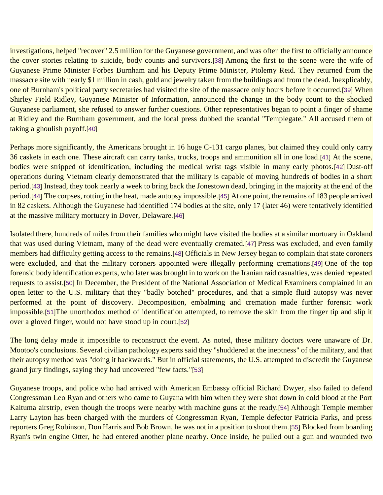investigations, helped "recover" 2.5 million for the Guyanese government, and was often the first to officially announce the cover stories relating to suicide, body counts and survivors.[\[38\]](https://ratical.org/ratville/JFK/JohnJudge/Jonestown.html#fn38) Among the first to the scene were the wife of Guyanese Prime Minister Forbes Burnham and his Deputy Prime Minister, Ptolemy Reid. They returned from the massacre site with nearly \$1 million in cash, gold and jewelry taken from the buildings and from the dead. Inexplicably, one of Burnham's political party secretaries had visited the site of the massacre only hours before it occurred.[\[39\]](https://ratical.org/ratville/JFK/JohnJudge/Jonestown.html#fn39) When Shirley Field Ridley, Guyanese Minister of Information, announced the change in the body count to the shocked Guyanese parliament, she refused to answer further questions. Other representatives began to point a finger of shame at Ridley and the Burnham government, and the local press dubbed the scandal "Templegate." All accused them of taking a ghoulish payoff.[\[40\]](https://ratical.org/ratville/JFK/JohnJudge/Jonestown.html#fn40)

Perhaps more significantly, the Americans brought in 16 huge C-131 cargo planes, but claimed they could only carry 36 caskets in each one. These aircraft can carry tanks, trucks, troops and ammunition all in one load.[\[41\]](https://ratical.org/ratville/JFK/JohnJudge/Jonestown.html#fn41) At the scene, bodies were stripped of identification, including the medical wrist tags visible in many early photos.[\[42\]](https://ratical.org/ratville/JFK/JohnJudge/Jonestown.html#fn42) Dust-off operations during Vietnam clearly demonstrated that the military is capable of moving hundreds of bodies in a short period.[\[43\]](https://ratical.org/ratville/JFK/JohnJudge/Jonestown.html#fn43) Instead, they took nearly a week to bring back the Jonestown dead, bringing in the majority at the end of the period.[\[44\]](https://ratical.org/ratville/JFK/JohnJudge/Jonestown.html#fn44) The corpses, rotting in the heat, made autopsy impossible.[\[45\]](https://ratical.org/ratville/JFK/JohnJudge/Jonestown.html#fn45) At one point, the remains of 183 people arrived in 82 caskets. Although the Guyanese had identified 174 bodies at the site, only 17 (later 46) were tentatively identified at the massive military mortuary in Dover, Delaware.[\[46\]](https://ratical.org/ratville/JFK/JohnJudge/Jonestown.html#fn46)

Isolated there, hundreds of miles from their families who might have visited the bodies at a similar mortuary in Oakland that was used during Vietnam, many of the dead were eventually cremated.[\[47\]](https://ratical.org/ratville/JFK/JohnJudge/Jonestown.html#fn47) Press was excluded, and even family members had difficulty getting access to the remains.[\[48\]](https://ratical.org/ratville/JFK/JohnJudge/Jonestown.html#fn48) Officials in New Jersey began to complain that state coroners were excluded, and that the military coroners appointed were illegally performing cremations.[\[49\]](https://ratical.org/ratville/JFK/JohnJudge/Jonestown.html#fn49) One of the top forensic body identification experts, who later was brought in to work on the Iranian raid casualties, was denied repeated requests to assist.[\[50\]](https://ratical.org/ratville/JFK/JohnJudge/Jonestown.html#fn50) In December, the President of the National Association of Medical Examiners complained in an open letter to the U.S. military that they "badly botched" procedures, and that a simple fluid autopsy was never performed at the point of discovery. Decomposition, embalming and cremation made further forensic work impossible.[\[51\]](https://ratical.org/ratville/JFK/JohnJudge/Jonestown.html#fn51)The unorthodox method of identification attempted, to remove the skin from the finger tip and slip it over a gloved finger, would not have stood up in court.[\[52\]](https://ratical.org/ratville/JFK/JohnJudge/Jonestown.html#fn52)

The long delay made it impossible to reconstruct the event. As noted, these military doctors were unaware of Dr. Mootoo's conclusions. Several civilian pathology experts said they "shuddered at the ineptness" of the military, and that their autopsy method was "doing it backwards." But in official statements, the U.S. attempted to discredit the Guyanese grand jury findings, saying they had uncovered "few facts."[\[53\]](https://ratical.org/ratville/JFK/JohnJudge/Jonestown.html#fn53)

Guyanese troops, and police who had arrived with American Embassy official Richard Dwyer, also failed to defend Congressman Leo Ryan and others who came to Guyana with him when they were shot down in cold blood at the Port Kaituma airstrip, even though the troops were nearby with machine guns at the ready.[\[54\]](https://ratical.org/ratville/JFK/JohnJudge/Jonestown.html#fn54) Although Temple member Larry Layton has been charged with the murders of Congressman Ryan, Temple defector Patricia Parks, and press reporters Greg Robinson, Don Harris and Bob Brown, he was not in a position to shoot them.[\[55\]](https://ratical.org/ratville/JFK/JohnJudge/Jonestown.html#fn55) Blocked from boarding Ryan's twin engine Otter, he had entered another plane nearby. Once inside, he pulled out a gun and wounded two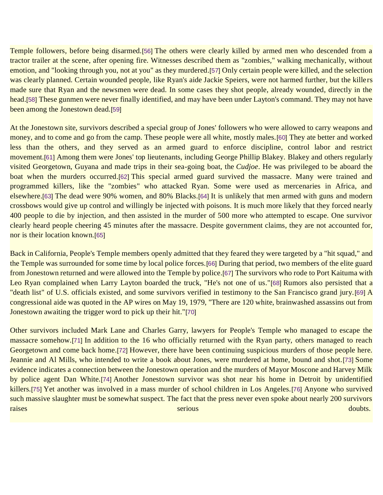Temple followers, before being disarmed.[\[56\]](https://ratical.org/ratville/JFK/JohnJudge/Jonestown.html#fn56) The others were clearly killed by armed men who descended from a tractor trailer at the scene, after opening fire. Witnesses described them as "zombies," walking mechanically, without emotion, and "looking through you, not at you" as they murdered.[\[57\]](https://ratical.org/ratville/JFK/JohnJudge/Jonestown.html#fn57) Only certain people were killed, and the selection was clearly planned. Certain wounded people, like Ryan's aide Jackie Speiers, were not harmed further, but the killers made sure that Ryan and the newsmen were dead. In some cases they shot people, already wounded, directly in the head.[\[58\]](https://ratical.org/ratville/JFK/JohnJudge/Jonestown.html#fn58) These gunmen were never finally identified, and may have been under Layton's command. They may not have been among the Jonestown dead.[\[59\]](https://ratical.org/ratville/JFK/JohnJudge/Jonestown.html#fn59)

At the Jonestown site, survivors described a special group of Jones' followers who were allowed to carry weapons and money, and to come and go from the camp. These people were all white, mostly males.[\[60\]](https://ratical.org/ratville/JFK/JohnJudge/Jonestown.html#fn60) They ate better and worked less than the others, and they served as an armed guard to enforce discipline, control labor and restrict movement.[\[61\]](https://ratical.org/ratville/JFK/JohnJudge/Jonestown.html#fn61) Among them were Jones' top lieutenants, including George Phillip Blakey. Blakey and others regularly visited Georgetown, Guyana and made trips in their sea-going boat, the *Cudjoe*. He was privileged to be aboard the boat when the murders occurred.[\[62\]](https://ratical.org/ratville/JFK/JohnJudge/Jonestown.html#fn62) This special armed guard survived the massacre. Many were trained and programmed killers, like the "zombies" who attacked Ryan. Some were used as mercenaries in Africa, and elsewhere.[\[63\]](https://ratical.org/ratville/JFK/JohnJudge/Jonestown.html#fn63) The dead were 90% women, and 80% Blacks.[\[64\]](https://ratical.org/ratville/JFK/JohnJudge/Jonestown.html#fn64) It is unlikely that men armed with guns and modern crossbows would give up control and willingly be injected with poisons. It is much more likely that they forced nearly 400 people to die by injection, and then assisted in the murder of 500 more who attempted to escape. One survivor clearly heard people cheering 45 minutes after the massacre. Despite government claims, they are not accounted for, nor is their location known.[\[65\]](https://ratical.org/ratville/JFK/JohnJudge/Jonestown.html#fn65)

Back in California, People's Temple members openly admitted that they feared they were targeted by a "hit squad," and the Temple was surrounded for some time by local police forces.[\[66\]](https://ratical.org/ratville/JFK/JohnJudge/Jonestown.html#fn66) During that period, two members of the elite guard from Jonestown returned and were allowed into the Temple by police.[\[67\]](https://ratical.org/ratville/JFK/JohnJudge/Jonestown.html#fn67) The survivors who rode to Port Kaituma with Leo Ryan complained when Larry Layton boarded the truck, "He's not one of us."[\[68\]](https://ratical.org/ratville/JFK/JohnJudge/Jonestown.html#fn68) Rumors also persisted that a "death list" of U.S. officials existed, and some survivors verified in testimony to the San Francisco grand jury.[\[69\]](https://ratical.org/ratville/JFK/JohnJudge/Jonestown.html#fn69) A congressional aide was quoted in the AP wires on May 19, 1979, "There are 120 white, brainwashed assassins out from Jonestown awaiting the trigger word to pick up their hit."[\[70\]](https://ratical.org/ratville/JFK/JohnJudge/Jonestown.html#fn70)

Other survivors included Mark Lane and Charles Garry, lawyers for People's Temple who managed to escape the massacre somehow.[\[71\]](https://ratical.org/ratville/JFK/JohnJudge/Jonestown.html#fn71) In addition to the 16 who officially returned with the Ryan party, others managed to reach Georgetown and come back home.[\[72\]](https://ratical.org/ratville/JFK/JohnJudge/Jonestown.html#fn72) However, there have been continuing suspicious murders of those people here. Jeannie and Al Mills, who intended to write a book about Jones, were murdered at home, bound and shot.[\[73\]](https://ratical.org/ratville/JFK/JohnJudge/Jonestown.html#fn73) Some evidence indicates a connection between the Jonestown operation and the murders of Mayor Moscone and Harvey Milk by police agent Dan White.[\[74\]](https://ratical.org/ratville/JFK/JohnJudge/Jonestown.html#fn74) Another Jonestown survivor was shot near his home in Detroit by unidentified killers.[\[75\]](https://ratical.org/ratville/JFK/JohnJudge/Jonestown.html#fn75) Yet another was involved in a mass murder of school children in Los Angeles.[\[76\]](https://ratical.org/ratville/JFK/JohnJudge/Jonestown.html#fn76) Anyone who survived such massive slaughter must be somewhat suspect. The fact that the press never even spoke about nearly 200 survivors **raises** doubts.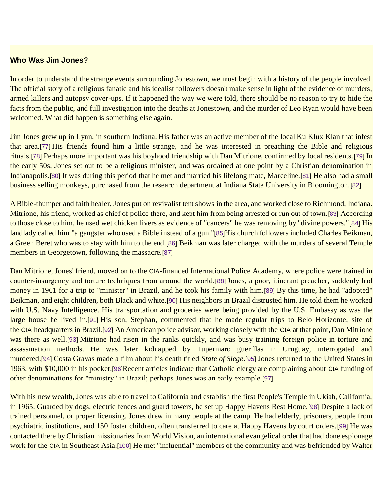#### **Who Was Jim Jones?**

In order to understand the strange events surrounding Jonestown, we must begin with a history of the people involved. The official story of a religious fanatic and his idealist followers doesn't make sense in light of the evidence of murders, armed killers and autopsy cover-ups. If it happened the way we were told, there should be no reason to try to hide the facts from the public, and full investigation into the deaths at Jonestown, and the murder of Leo Ryan would have been welcomed. What did happen is something else again.

Jim Jones grew up in Lynn, in southern Indiana. His father was an active member of the local Ku Klux Klan that infest that area.[\[77\]](https://ratical.org/ratville/JFK/JohnJudge/Jonestown.html#fn77) His friends found him a little strange, and he was interested in preaching the Bible and religious rituals.[\[78\]](https://ratical.org/ratville/JFK/JohnJudge/Jonestown.html#fn78) Perhaps more important was his boyhood friendship with Dan Mitrione, confirmed by local residents.[\[79\]](https://ratical.org/ratville/JFK/JohnJudge/Jonestown.html#fn79) In the early 50s, Jones set out to be a religious minister, and was ordained at one point by a Christian denomination in Indianapolis.[\[80\]](https://ratical.org/ratville/JFK/JohnJudge/Jonestown.html#fn80) It was during this period that he met and married his lifelong mate, Marceline.[\[81\]](https://ratical.org/ratville/JFK/JohnJudge/Jonestown.html#fn81) He also had a small business selling monkeys, purchased from the research department at Indiana State University in Bloomington.[\[82\]](https://ratical.org/ratville/JFK/JohnJudge/Jonestown.html#fn82)

A Bible-thumper and faith healer, Jones put on revivalist tent shows in the area, and worked close to Richmond, Indiana. Mitrione, his friend, worked as chief of police there, and kept him from being arrested or run out of town.[\[83\]](https://ratical.org/ratville/JFK/JohnJudge/Jonestown.html#fn83) According to those close to him, he used wet chicken livers as evidence of "cancers" he was removing by "divine powers."[\[84\]](https://ratical.org/ratville/JFK/JohnJudge/Jonestown.html#fn84) His landlady called him "a gangster who used a Bible instead of a gun."[\[85\]](https://ratical.org/ratville/JFK/JohnJudge/Jonestown.html#fn85)His church followers included Charles Beikman, a Green Beret who was to stay with him to the end.[\[86\]](https://ratical.org/ratville/JFK/JohnJudge/Jonestown.html#fn86) Beikman was later charged with the murders of several Temple members in Georgetown, following the massacre.[\[87\]](https://ratical.org/ratville/JFK/JohnJudge/Jonestown.html#fn87)

Dan Mitrione, Jones' friend, moved on to the CIA-financed International Police Academy, where police were trained in counter-insurgency and torture techniques from around the world.[\[88\]](https://ratical.org/ratville/JFK/JohnJudge/Jonestown.html#fn88) Jones, a poor, itinerant preacher, suddenly had money in 1961 for a trip to "minister" in Brazil, and he took his family with him.[\[89\]](https://ratical.org/ratville/JFK/JohnJudge/Jonestown.html#fn89) By this time, he had "adopted" Beikman, and eight children, both Black and white.[\[90\]](https://ratical.org/ratville/JFK/JohnJudge/Jonestown.html#fn90) His neighbors in Brazil distrusted him. He told them he worked with U.S. Navy Intelligence. His transportation and groceries were being provided by the U.S. Embassy as was the large house he lived in.[\[91\]](https://ratical.org/ratville/JFK/JohnJudge/Jonestown.html#fn91) His son, Stephan, commented that he made regular trips to Belo Horizonte, site of the CIA headquarters in Brazil.[\[92\]](https://ratical.org/ratville/JFK/JohnJudge/Jonestown.html#fn92) An American police advisor, working closely with the CIA at that point, Dan Mitrione was there as well.[\[93\]](https://ratical.org/ratville/JFK/JohnJudge/Jonestown.html#fn93) Mitrione had risen in the ranks quickly, and was busy training foreign police in torture and assassination methods. He was later kidnapped by Tupermaro guerillas in Uruguay, interrogated and murdered.[\[94\]](https://ratical.org/ratville/JFK/JohnJudge/Jonestown.html#fn94) Costa Gravas made a film about his death titled *State of Siege*.[\[95\]](https://ratical.org/ratville/JFK/JohnJudge/Jonestown.html#fn95) Jones returned to the United States in 1963, with \$10,000 in his pocket.[\[96\]](https://ratical.org/ratville/JFK/JohnJudge/Jonestown.html#fn96)Recent articles indicate that Catholic clergy are complaining about CIA funding of other denominations for "ministry" in Brazil; perhaps Jones was an early example.[\[97\]](https://ratical.org/ratville/JFK/JohnJudge/Jonestown.html#fn97)

With his new wealth, Jones was able to travel to California and establish the first People's Temple in Ukiah, California, in 1965. Guarded by dogs, electric fences and guard towers, he set up Happy Havens Rest Home.[\[98\]](https://ratical.org/ratville/JFK/JohnJudge/Jonestown.html#fn98) Despite a lack of trained personnel, or proper licensing, Jones drew in many people at the camp. He had elderly, prisoners, people from psychiatric institutions, and 150 foster children, often transferred to care at Happy Havens by court orders.[\[99\]](https://ratical.org/ratville/JFK/JohnJudge/Jonestown.html#fn99) He was contacted there by Christian missionaries from World Vision, an international evangelical order that had done espionage work for the CIA in Southeast Asia.[\[100\]](https://ratical.org/ratville/JFK/JohnJudge/Jonestown.html#fn100) He met "influential" members of the community and was befriended by Walter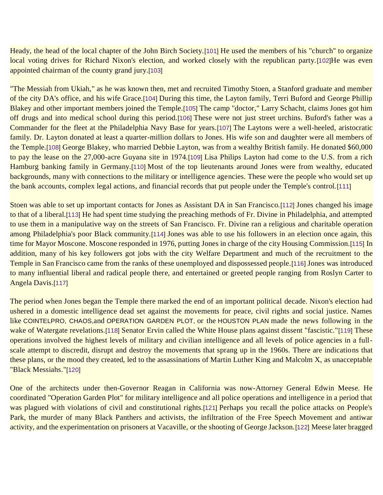Heady, the head of the local chapter of the John Birch Society.[\[101\]](https://ratical.org/ratville/JFK/JohnJudge/Jonestown.html#fn101) He used the members of his "church" to organize local voting drives for Richard Nixon's election, and worked closely with the republican party.[\[102\]](https://ratical.org/ratville/JFK/JohnJudge/Jonestown.html#fn102)He was even appointed chairman of the county grand jury.[\[103\]](https://ratical.org/ratville/JFK/JohnJudge/Jonestown.html#fn103)

"The Messiah from Ukiah," as he was known then, met and recruited Timothy Stoen, a Stanford graduate and member of the city DA's office, and his wife Grace.[\[104\]](https://ratical.org/ratville/JFK/JohnJudge/Jonestown.html#fn104) During this time, the Layton family, Terri Buford and George Phillip Blakey and other important members joined the Temple.[\[105\]](https://ratical.org/ratville/JFK/JohnJudge/Jonestown.html#fn105) The camp "doctor," Larry Schacht, claims Jones got him off drugs and into medical school during this period.[\[106\]](https://ratical.org/ratville/JFK/JohnJudge/Jonestown.html#fn106) These were not just street urchins. Buford's father was a Commander for the fleet at the Philadelphia Navy Base for years.[\[107\]](https://ratical.org/ratville/JFK/JohnJudge/Jonestown.html#fn107) The Laytons were a well-heeled, aristocratic family. Dr. Layton donated at least a quarter-million dollars to Jones. His wife son and daughter were all members of the Temple.[\[108\]](https://ratical.org/ratville/JFK/JohnJudge/Jonestown.html#fn108) George Blakey, who married Debbie Layton, was from a wealthy British family. He donated \$60,000 to pay the lease on the 27,000-acre Guyana site in 1974.[\[109\]](https://ratical.org/ratville/JFK/JohnJudge/Jonestown.html#fn109) Lisa Philips Layton had come to the U.S. from a rich Hamburg banking family in Germany.[\[110\]](https://ratical.org/ratville/JFK/JohnJudge/Jonestown.html#fn110) Most of the top lieutenants around Jones were from wealthy, educated backgrounds, many with connections to the military or intelligence agencies. These were the people who would set up the bank accounts, complex legal actions, and financial records that put people under the Temple's control.[\[111\]](https://ratical.org/ratville/JFK/JohnJudge/Jonestown.html#fn111)

Stoen was able to set up important contacts for Jones as Assistant DA in San Francisco.[\[112\]](https://ratical.org/ratville/JFK/JohnJudge/Jonestown.html#fn112) Jones changed his image to that of a liberal.[\[113\]](https://ratical.org/ratville/JFK/JohnJudge/Jonestown.html#fn113) He had spent time studying the preaching methods of Fr. Divine in Philadelphia, and attempted to use them in a manipulative way on the streets of San Francisco. Fr. Divine ran a religious and charitable operation among Philadelphia's poor Black community.[\[114\]](https://ratical.org/ratville/JFK/JohnJudge/Jonestown.html#fn114) Jones was able to use his followers in an election once again, this time for Mayor Moscone. Moscone responded in 1976, putting Jones in charge of the city Housing Commission.[\[115\]](https://ratical.org/ratville/JFK/JohnJudge/Jonestown.html#fn115) In addition, many of his key followers got jobs with the city Welfare Department and much of the recruitment to the Temple in San Francisco came from the ranks of these unemployed and dispossessed people.[\[116\]](https://ratical.org/ratville/JFK/JohnJudge/Jonestown.html#fn116) Jones was introduced to many influential liberal and radical people there, and entertained or greeted people ranging from Roslyn Carter to Angela Davis.[\[117\]](https://ratical.org/ratville/JFK/JohnJudge/Jonestown.html#fn117)

The period when Jones began the Temple there marked the end of an important political decade. Nixon's election had ushered in a domestic intelligence dead set against the movements for peace, civil rights and social justice. Names like COINTELPRO, CHAOS,and OPERATION GARDEN PLOT, or the HOUSTON PLAN made the news following in the wake of Watergate revelations.[\[118\]](https://ratical.org/ratville/JFK/JohnJudge/Jonestown.html#fn118) Senator Ervin called the White House plans against dissent "fascistic."[\[119\]](https://ratical.org/ratville/JFK/JohnJudge/Jonestown.html#fn119) These operations involved the highest levels of military and civilian intelligence and all levels of police agencies in a fullscale attempt to discredit, disrupt and destroy the movements that sprang up in the 1960s. There are indications that these plans, or the mood they created, led to the assassinations of Martin Luther King and Malcolm X, as unacceptable "Black Messiahs."[\[120\]](https://ratical.org/ratville/JFK/JohnJudge/Jonestown.html#fn120)

One of the architects under then-Governor Reagan in California was now-Attorney General Edwin Meese. He coordinated "Operation Garden Plot" for military intelligence and all police operations and intelligence in a period that was plagued with violations of civil and constitutional rights.[\[121\]](https://ratical.org/ratville/JFK/JohnJudge/Jonestown.html#fn121) Perhaps you recall the police attacks on People's Park, the murder of many Black Panthers and activists, the infiltration of the Free Speech Movement and antiwar activity, and the experimentation on prisoners at Vacaville, or the shooting of George Jackson.[\[122\]](https://ratical.org/ratville/JFK/JohnJudge/Jonestown.html#fn122) Meese later bragged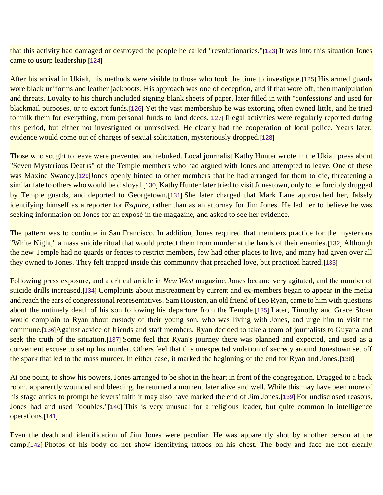that this activity had damaged or destroyed the people he called "revolutionaries."[\[123\]](https://ratical.org/ratville/JFK/JohnJudge/Jonestown.html#fn123) It was into this situation Jones came to usurp leadership.[\[124\]](https://ratical.org/ratville/JFK/JohnJudge/Jonestown.html#fn124)

After his arrival in Ukiah, his methods were visible to those who took the time to investigate.[\[125\]](https://ratical.org/ratville/JFK/JohnJudge/Jonestown.html#fn125) His armed guards wore black uniforms and leather jackboots. His approach was one of deception, and if that wore off, then manipulation and threats. Loyalty to his church included signing blank sheets of paper, later filled in with "confessions' and used for blackmail purposes, or to extort funds.[\[126\]](https://ratical.org/ratville/JFK/JohnJudge/Jonestown.html#fn126) Yet the vast membership he was extorting often owned little, and he tried to milk them for everything, from personal funds to land deeds.[\[127\]](https://ratical.org/ratville/JFK/JohnJudge/Jonestown.html#fn127) Illegal activities were regularly reported during this period, but either not investigated or unresolved. He clearly had the cooperation of local police. Years later, evidence would come out of charges of sexual solicitation, mysteriously dropped.[\[128\]](https://ratical.org/ratville/JFK/JohnJudge/Jonestown.html#fn128)

Those who sought to leave were prevented and rebuked. Local journalist Kathy Hunter wrote in the Ukiah press about "Seven Mysterious Deaths" of the Temple members who had argued with Jones and attempted to leave. One of these was Maxine Swaney.[\[129\]](https://ratical.org/ratville/JFK/JohnJudge/Jonestown.html#fn129)Jones openly hinted to other members that he had arranged for them to die, threatening a similar fate to others who would be disloyal.[\[130\]](https://ratical.org/ratville/JFK/JohnJudge/Jonestown.html#fn130) Kathy Hunter later tried to visit Jonestown, only to be forcibly drugged by Temple guards, and deported to Georgetown.[\[131\]](https://ratical.org/ratville/JFK/JohnJudge/Jonestown.html#fn131) She later charged that Mark Lane approached her, falsely identifying himself as a reporter for *Esquire*, rather than as an attorney for Jim Jones. He led her to believe he was seeking information on Jones for an exposé in the magazine, and asked to see her evidence.

The pattern was to continue in San Francisco. In addition, Jones required that members practice for the mysterious "White Night," a mass suicide ritual that would protect them from murder at the hands of their enemies.[\[132\]](https://ratical.org/ratville/JFK/JohnJudge/Jonestown.html#fn132) Although the new Temple had no guards or fences to restrict members, few had other places to live, and many had given over all they owned to Jones. They felt trapped inside this community that preached love, but practiced hatred.[\[133\]](https://ratical.org/ratville/JFK/JohnJudge/Jonestown.html#fn133)

Following press exposure, and a critical article in *New West* magazine, Jones became very agitated, and the number of suicide drills increased.[\[134\]](https://ratical.org/ratville/JFK/JohnJudge/Jonestown.html#fn134) Complaints about mistreatment by current and ex-members began to appear in the media and reach the ears of congressional representatives. Sam Houston, an old friend of Leo Ryan, came to him with questions about the untimely death of his son following his departure from the Temple.[\[135\]](https://ratical.org/ratville/JFK/JohnJudge/Jonestown.html#fn135) Later, Timothy and Grace Stoen would complain to Ryan about custody of their young son, who was living with Jones, and urge him to visit the commune.[\[136\]](https://ratical.org/ratville/JFK/JohnJudge/Jonestown.html#fn136)Against advice of friends and staff members, Ryan decided to take a team of journalists to Guyana and seek the truth of the situation.[\[137\]](https://ratical.org/ratville/JFK/JohnJudge/Jonestown.html#fn137) Some feel that Ryan's journey there was planned and expected, and used as a convenient excuse to set up his murder. Others feel that this unexpected violation of secrecy around Jonestown set off the spark that led to the mass murder. In either case, it marked the beginning of the end for Ryan and Jones.[\[138\]](https://ratical.org/ratville/JFK/JohnJudge/Jonestown.html#fn138)

At one point, to show his powers, Jones arranged to be shot in the heart in front of the congregation. Dragged to a back room, apparently wounded and bleeding, he returned a moment later alive and well. While this may have been more of his stage antics to prompt believers' faith it may also have marked the end of Jim Jones.[\[139\]](https://ratical.org/ratville/JFK/JohnJudge/Jonestown.html#fn139) For undisclosed reasons, Jones had and used "doubles."[\[140\]](https://ratical.org/ratville/JFK/JohnJudge/Jonestown.html#fn140) This is very unusual for a religious leader, but quite common in intelligence operations.[\[141\]](https://ratical.org/ratville/JFK/JohnJudge/Jonestown.html#fn141)

Even the death and identification of Jim Jones were peculiar. He was apparently shot by another person at the camp.[\[142\]](https://ratical.org/ratville/JFK/JohnJudge/Jonestown.html#fn142) Photos of his body do not show identifying tattoos on his chest. The body and face are not clearly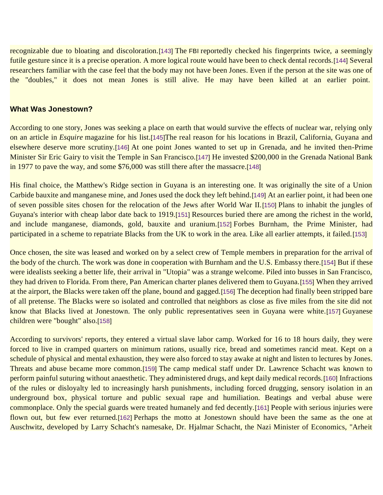recognizable due to bloating and discoloration.[\[143\]](https://ratical.org/ratville/JFK/JohnJudge/Jonestown.html#fn143) The FBI reportedly checked his fingerprints twice, a seemingly futile gesture since it is a precise operation. A more logical route would have been to check dental records.[\[144\]](https://ratical.org/ratville/JFK/JohnJudge/Jonestown.html#fn144) Several researchers familiar with the case feel that the body may not have been Jones. Even if the person at the site was one of the "doubles," it does not mean Jones is still alive. He may have been killed at an earlier point.

#### **What Was Jonestown?**

According to one story, Jones was seeking a place on earth that would survive the effects of nuclear war, relying only on an article in *Esquire* magazine for his list.[\[145\]](https://ratical.org/ratville/JFK/JohnJudge/Jonestown.html#fn145)The real reason for his locations in Brazil, California, Guyana and elsewhere deserve more scrutiny.[\[146\]](https://ratical.org/ratville/JFK/JohnJudge/Jonestown.html#fn146) At one point Jones wanted to set up in Grenada, and he invited then-Prime Minister Sir Eric Gairy to visit the Temple in San Francisco.[\[147\]](https://ratical.org/ratville/JFK/JohnJudge/Jonestown.html#fn147) He invested \$200,000 in the Grenada National Bank in 1977 to pave the way, and some \$76,000 was still there after the massacre.[\[148\]](https://ratical.org/ratville/JFK/JohnJudge/Jonestown.html#fn148)

His final choice, the Matthew's Ridge section in Guyana is an interesting one. It was originally the site of a Union Carbide bauxite and manganese mine, and Jones used the dock they left behind.[\[149\]](https://ratical.org/ratville/JFK/JohnJudge/Jonestown.html#fn149) At an earlier point, it had been one of seven possible sites chosen for the relocation of the Jews after World War II.[\[150\]](https://ratical.org/ratville/JFK/JohnJudge/Jonestown.html#fn150) Plans to inhabit the jungles of Guyana's interior with cheap labor date back to 1919.[\[151\]](https://ratical.org/ratville/JFK/JohnJudge/Jonestown.html#fn151) Resources buried there are among the richest in the world, and include manganese, diamonds, gold, bauxite and uranium.[\[152\]](https://ratical.org/ratville/JFK/JohnJudge/Jonestown.html#fn152) Forbes Burnham, the Prime Minister, had participated in a scheme to repatriate Blacks from the UK to work in the area. Like all earlier attempts, it failed.[\[153\]](https://ratical.org/ratville/JFK/JohnJudge/Jonestown.html#fn153)

Once chosen, the site was leased and worked on by a select crew of Temple members in preparation for the arrival of the body of the church. The work was done in cooperation with Burnham and the U.S. Embassy there.[\[154\]](https://ratical.org/ratville/JFK/JohnJudge/Jonestown.html#fn154) But if these were idealists seeking a better life, their arrival in "Utopia" was a strange welcome. Piled into busses in San Francisco, they had driven to Florida. From there, Pan American charter planes delivered them to Guyana.[\[155\]](https://ratical.org/ratville/JFK/JohnJudge/Jonestown.html#fn155) When they arrived at the airport, the Blacks were taken off the plane, bound and gagged.[\[156\]](https://ratical.org/ratville/JFK/JohnJudge/Jonestown.html#fn156) The deception had finally been stripped bare of all pretense. The Blacks were so isolated and controlled that neighbors as close as five miles from the site did not know that Blacks lived at Jonestown. The only public representatives seen in Guyana were white.[\[157\]](https://ratical.org/ratville/JFK/JohnJudge/Jonestown.html#fn157) Guyanese children were "bought" also.[\[158\]](https://ratical.org/ratville/JFK/JohnJudge/Jonestown.html#fn158)

According to survivors' reports, they entered a virtual slave labor camp. Worked for 16 to 18 hours daily, they were forced to live in cramped quarters on minimum rations, usually rice, bread and sometimes rancid meat. Kept on a schedule of physical and mental exhaustion, they were also forced to stay awake at night and listen to lectures by Jones. Threats and abuse became more common.[\[159\]](https://ratical.org/ratville/JFK/JohnJudge/Jonestown.html#fn159) The camp medical staff under Dr. Lawrence Schacht was known to perform painful suturing without anaesthetic. They administered drugs, and kept daily medical records.[\[160\]](https://ratical.org/ratville/JFK/JohnJudge/Jonestown.html#fn160) Infractions of the rules or disloyalty led to increasingly harsh punishments, including forced drugging, sensory isolation in an underground box, physical torture and public sexual rape and humiliation. Beatings and verbal abuse were commonplace. Only the special guards were treated humanely and fed decently.[\[161\]](https://ratical.org/ratville/JFK/JohnJudge/Jonestown.html#fn161) People with serious injuries were flown out, but few ever returned.[\[162\]](https://ratical.org/ratville/JFK/JohnJudge/Jonestown.html#fn162) Perhaps the motto at Jonestown should have been the same as the one at Auschwitz, developed by Larry Schacht's namesake, Dr. Hjalmar Schacht, the Nazi Minister of Economics, "Arheit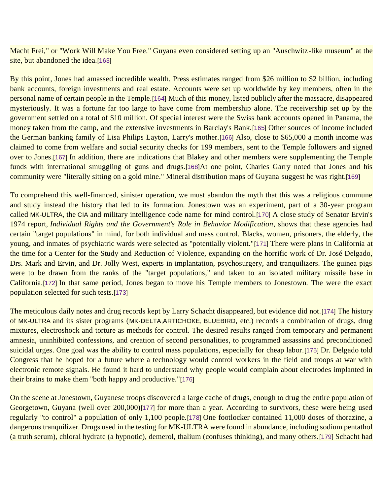Macht Frei," or "Work Will Make You Free." Guyana even considered setting up an "Auschwitz-like museum" at the site, but abandoned the idea.[\[163\]](https://ratical.org/ratville/JFK/JohnJudge/Jonestown.html#fn163)

By this point, Jones had amassed incredible wealth. Press estimates ranged from \$26 million to \$2 billion, including bank accounts, foreign investments and real estate. Accounts were set up worldwide by key members, often in the personal name of certain people in the Temple.[\[164\]](https://ratical.org/ratville/JFK/JohnJudge/Jonestown.html#fn164) Much of this money, listed publicly after the massacre, disappeared mysteriously. It was a fortune far too large to have come from membership alone. The receivership set up by the government settled on a total of \$10 million. Of special interest were the Swiss bank accounts opened in Panama, the money taken from the camp, and the extensive investments in Barclay's Bank.[\[165\]](https://ratical.org/ratville/JFK/JohnJudge/Jonestown.html#fn165) Other sources of income included the German banking family of Lisa Philips Layton, Larry's mother.[\[166\]](https://ratical.org/ratville/JFK/JohnJudge/Jonestown.html#fn166) Also, close to \$65,000 a month income was claimed to come from welfare and social security checks for 199 members, sent to the Temple followers and signed over to Jones.[\[167\]](https://ratical.org/ratville/JFK/JohnJudge/Jonestown.html#fn167) In addition, there are indications that Blakey and other members were supplementing the Temple funds with international smuggling of guns and drugs.[\[168\]](https://ratical.org/ratville/JFK/JohnJudge/Jonestown.html#fn168)At one point, Charles Garry noted that Jones and his community were "literally sitting on a gold mine." Mineral distribution maps of Guyana suggest he was right.[\[169\]](https://ratical.org/ratville/JFK/JohnJudge/Jonestown.html#fn169)

To comprehend this well-financed, sinister operation, we must abandon the myth that this was a religious commune and study instead the history that led to its formation. Jonestown was an experiment, part of a 30-year program called MK-ULTRA, the CIA and military intelligence code name for mind control.[\[170\]](https://ratical.org/ratville/JFK/JohnJudge/Jonestown.html#fn170) A close study of Senator Ervin's 1974 report, *Individual Rights and the Government's Role in Behavior Modification*, shows that these agencies had certain "target populations" in mind, for both individual and mass control. Blacks, women, prisoners, the elderly, the young, and inmates of psychiatric wards were selected as "potentially violent."[\[171\]](https://ratical.org/ratville/JFK/JohnJudge/Jonestown.html#fn171) There were plans in California at the time for a Center for the Study and Reduction of Violence, expanding on the horrific work of Dr. José Delgado, Drs. Mark and Ervin, and Dr. Jolly West, experts in implantation, psychosurgery, and tranquilizers. The guinea pigs were to be drawn from the ranks of the "target populations," and taken to an isolated military missile base in California.[\[172\]](https://ratical.org/ratville/JFK/JohnJudge/Jonestown.html#fn172) In that same period, Jones began to move his Temple members to Jonestown. The were the exact population selected for such tests.[\[173\]](https://ratical.org/ratville/JFK/JohnJudge/Jonestown.html#fn173)

The meticulous daily notes and drug records kept by Larry Schacht disappeared, but evidence did not.[\[174\]](https://ratical.org/ratville/JFK/JohnJudge/Jonestown.html#fn174) The history of MK-ULTRA and its sister programs (MK-DELTA,ARTICHOKE, BLUEBIRD, etc.) records a combination of drugs, drug mixtures, electroshock and torture as methods for control. The desired results ranged from temporary and permanent amnesia, uninhibited confessions, and creation of second personalities, to programmed assassins and preconditioned suicidal urges. One goal was the ability to control mass populations, especially for cheap labor.[\[175\]](https://ratical.org/ratville/JFK/JohnJudge/Jonestown.html#fn175) Dr. Delgado told Congress that he hoped for a future where a technology would control workers in the field and troops at war with electronic remote signals. He found it hard to understand why people would complain about electrodes implanted in their brains to make them "both happy and productive."[\[176\]](https://ratical.org/ratville/JFK/JohnJudge/Jonestown.html#fn176)

On the scene at Jonestown, Guyanese troops discovered a large cache of drugs, enough to drug the entire population of Georgetown, Guyana (well over 200,000)[\[177\]](https://ratical.org/ratville/JFK/JohnJudge/Jonestown.html#fn177) for more than a year. According to survivors, these were being used regularly "to control" a population of only 1,100 people.[\[178\]](https://ratical.org/ratville/JFK/JohnJudge/Jonestown.html#fn178) One footlocker contained 11,000 doses of thorazine, a dangerous tranquilizer. Drugs used in the testing for MK-ULTRA were found in abundance, including sodium pentathol (a truth serum), chloral hydrate (a hypnotic), demerol, thalium (confuses thinking), and many others.[\[179\]](https://ratical.org/ratville/JFK/JohnJudge/Jonestown.html#fn179) Schacht had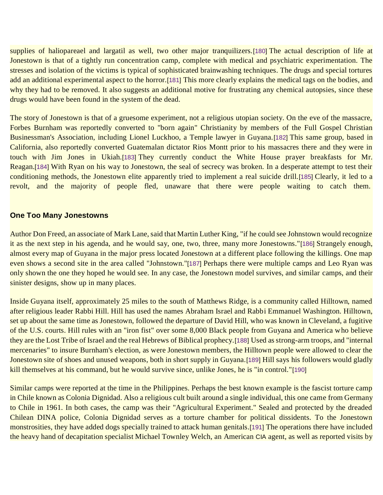supplies of haliopareael and largatil as well, two other major tranquilizers.[\[180\]](https://ratical.org/ratville/JFK/JohnJudge/Jonestown.html#fn180) The actual description of life at Jonestown is that of a tightly run concentration camp, complete with medical and psychiatric experimentation. The stresses and isolation of the victims is typical of sophisticated brainwashing techniques. The drugs and special tortures add an additional experimental aspect to the horror.[\[181\]](https://ratical.org/ratville/JFK/JohnJudge/Jonestown.html#fn181) This more clearly explains the medical tags on the bodies, and why they had to be removed. It also suggests an additional motive for frustrating any chemical autopsies, since these drugs would have been found in the system of the dead.

The story of Jonestown is that of a gruesome experiment, not a religious utopian society. On the eve of the massacre, Forbes Burnham was reportedly converted to "born again" Christianity by members of the Full Gospel Christian Businessman's Association, including Lionel Luckhoo, a Temple lawyer in Guyana.[\[182\]](https://ratical.org/ratville/JFK/JohnJudge/Jonestown.html#fn182) This same group, based in California, also reportedly converted Guatemalan dictator Rios Montt prior to his massacres there and they were in touch with Jim Jones in Ukiah.[\[183\]](https://ratical.org/ratville/JFK/JohnJudge/Jonestown.html#fn183) They currently conduct the White House prayer breakfasts for Mr. Reagan.[\[184\]](https://ratical.org/ratville/JFK/JohnJudge/Jonestown.html#fn184) With Ryan on his way to Jonestown, the seal of secrecy was broken. In a desperate attempt to test their conditioning methods, the Jonestown elite apparently tried to implement a real suicide drill.[\[185\]](https://ratical.org/ratville/JFK/JohnJudge/Jonestown.html#fn185) Clearly, it led to a revolt, and the majority of people fled, unaware that there were people waiting to catch them.

#### **One Too Many Jonestowns**

Author Don Freed, an associate of Mark Lane, said that Martin Luther King, "if he could see Johnstown would recognize it as the next step in his agenda, and he would say, one, two, three, many more Jonestowns."[\[186\]](https://ratical.org/ratville/JFK/JohnJudge/Jonestown.html#fn186) Strangely enough, almost every map of Guyana in the major press located Jonestown at a different place following the killings. One map even shows a second site in the area called "Johnstown."[\[187\]](https://ratical.org/ratville/JFK/JohnJudge/Jonestown.html#fn187) Perhaps there were multiple camps and Leo Ryan was only shown the one they hoped he would see. In any case, the Jonestown model survives, and similar camps, and their sinister designs, show up in many places.

Inside Guyana itself, approximately 25 miles to the south of Matthews Ridge, is a community called Hilltown, named after religious leader Rabbi Hill. Hill has used the names Abraham Israel and Rabbi Emmanuel Washington. Hilltown, set up about the same time as Jonestown, followed the departure of David Hill, who was known in Cleveland, a fugitive of the U.S. courts. Hill rules with an "iron fist" over some 8,000 Black people from Guyana and America who believe they are the Lost Tribe of Israel and the real Hebrews of Biblical prophecy.[\[188\]](https://ratical.org/ratville/JFK/JohnJudge/Jonestown.html#fn188) Used as strong-arm troops, and "internal mercenaries" to insure Burnham's election, as were Jonestown members, the Hilltown people were allowed to clear the Jonestown site of shoes and unused weapons, both in short supply in Guyana.[\[189\]](https://ratical.org/ratville/JFK/JohnJudge/Jonestown.html#fn189) Hill says his followers would gladly kill themselves at his command, but he would survive since, unlike Jones, he is "in control."[\[190\]](https://ratical.org/ratville/JFK/JohnJudge/Jonestown.html#fn190)

Similar camps were reported at the time in the Philippines. Perhaps the best known example is the fascist torture camp in Chile known as Colonia Dignidad. Also a religious cult built around a single individual, this one came from Germany to Chile in 1961. In both cases, the camp was their "Agricultural Experiment." Sealed and protected by the dreaded Chilean DINA police, Colonia Dignidad serves as a torture chamber for political dissidents. To the Jonestown monstrosities, they have added dogs specially trained to attack human genitals.[\[191\]](https://ratical.org/ratville/JFK/JohnJudge/Jonestown.html#fn191) The operations there have included the heavy hand of decapitation specialist Michael Townley Welch, an American CIA agent, as well as reported visits by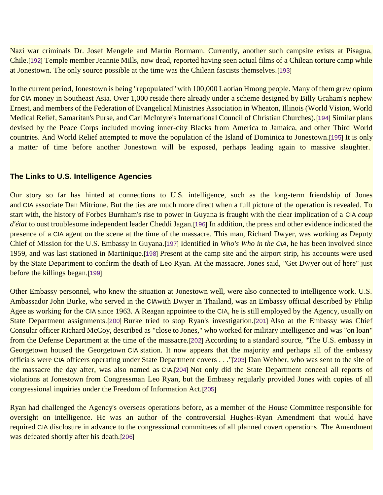Nazi war criminals Dr. Josef Mengele and Martin Bormann. Currently, another such campsite exists at Pisagua, Chile.[\[192\]](https://ratical.org/ratville/JFK/JohnJudge/Jonestown.html#fn192) Temple member Jeannie Mills, now dead, reported having seen actual films of a Chilean torture camp while at Jonestown. The only source possible at the time was the Chilean fascists themselves.[\[193\]](https://ratical.org/ratville/JFK/JohnJudge/Jonestown.html#fn193)

In the current period, Jonestown is being "repopulated" with 100,000 Laotian Hmong people. Many of them grew opium for CIA money in Southeast Asia. Over 1,000 reside there already under a scheme designed by Billy Graham's nephew Ernest, and members of the Federation of Evangelical Ministries Association in Wheaton, Illinois (World Vision, World Medical Relief, Samaritan's Purse, and Carl McIntyre's International Council of Christian Churches).[\[194\]](https://ratical.org/ratville/JFK/JohnJudge/Jonestown.html#fn194) Similar plans devised by the Peace Corps included moving inner-city Blacks from America to Jamaica, and other Third World countries. And World Relief attempted to move the population of the Island of Dominica to Jonestown.[\[195\]](https://ratical.org/ratville/JFK/JohnJudge/Jonestown.html#fn195) It is only a matter of time before another Jonestown will be exposed, perhaps leading again to massive slaughter.

#### **The Links to U.S. Intelligence Agencies**

Our story so far has hinted at connections to U.S. intelligence, such as the long-term friendship of Jones and CIA associate Dan Mitrione. But the ties are much more direct when a full picture of the operation is revealed. To start with, the history of Forbes Burnham's rise to power in Guyana is fraught with the clear implication of a CIA *coup d'état* to oust troublesome independent leader Cheddi Jagan.[\[196\]](https://ratical.org/ratville/JFK/JohnJudge/Jonestown.html#fn196) In addition, the press and other evidence indicated the presence of a CIA agent on the scene at the time of the massacre. This man, Richard Dwyer, was working as Deputy Chief of Mission for the U.S. Embassy in Guyana.[\[197\]](https://ratical.org/ratville/JFK/JohnJudge/Jonestown.html#fn197) Identified in *Who's Who in the CIA*, he has been involved since 1959, and was last stationed in Martinique.[\[198\]](https://ratical.org/ratville/JFK/JohnJudge/Jonestown.html#fn198) Present at the camp site and the airport strip, his accounts were used by the State Department to confirm the death of Leo Ryan. At the massacre, Jones said, "Get Dwyer out of here" just before the killings began.[\[199\]](https://ratical.org/ratville/JFK/JohnJudge/Jonestown.html#fn199)

Other Embassy personnel, who knew the situation at Jonestown well, were also connected to intelligence work. U.S. Ambassador John Burke, who served in the CIAwith Dwyer in Thailand, was an Embassy official described by Philip Agee as working for the CIA since 1963. A Reagan appointee to the CIA, he is still employed by the Agency, usually on State Department assignments.[\[200\]](https://ratical.org/ratville/JFK/JohnJudge/Jonestown.html#fn200) Burke tried to stop Ryan's investigation.[\[201\]](https://ratical.org/ratville/JFK/JohnJudge/Jonestown.html#fn201) Also at the Embassy was Chief Consular officer Richard McCoy, described as "close to Jones," who worked for military intelligence and was "on loan" from the Defense Department at the time of the massacre.[\[202\]](https://ratical.org/ratville/JFK/JohnJudge/Jonestown.html#fn202) According to a standard source, "The U.S. embassy in Georgetown housed the Georgetown CIA station. It now appears that the majority and perhaps all of the embassy officials were CIA officers operating under State Department covers . . ."[\[203\]](https://ratical.org/ratville/JFK/JohnJudge/Jonestown.html#fn203) Dan Webber, who was sent to the site of the massacre the day after, was also named as CIA.[\[204\]](https://ratical.org/ratville/JFK/JohnJudge/Jonestown.html#fn204) Not only did the State Department conceal all reports of violations at Jonestown from Congressman Leo Ryan, but the Embassy regularly provided Jones with copies of all congressional inquiries under the Freedom of Information Act.[\[205\]](https://ratical.org/ratville/JFK/JohnJudge/Jonestown.html#fn205)

Ryan had challenged the Agency's overseas operations before, as a member of the House Committee responsible for oversight on intelligence. He was an author of the controversial Hughes-Ryan Amendment that would have required CIA disclosure in advance to the congressional committees of all planned covert operations. The Amendment was defeated shortly after his death.[\[206\]](https://ratical.org/ratville/JFK/JohnJudge/Jonestown.html#fn206)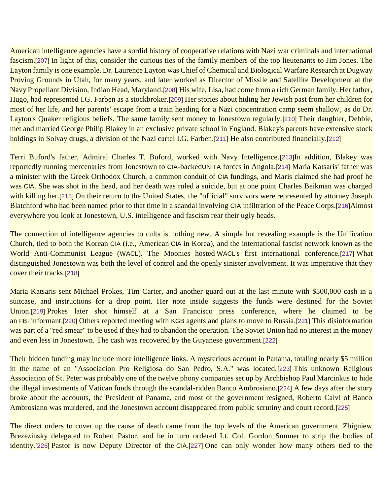American intelligence agencies have a sordid history of cooperative relations with Nazi war criminals and international fascism.[\[207\]](https://ratical.org/ratville/JFK/JohnJudge/Jonestown.html#fn207) In light of this, consider the curious ties of the family members of the top lieutenants to Jim Jones. The Layton family is one example. Dr. Laurence Layton was Chief of Chemical and Biological Warfare Research at Dugway Proving Grounds in Utah, for many years, and later worked as Director of Missile and Satellite Development at the Navy Propellant Division, Indian Head, Maryland.[\[208\]](https://ratical.org/ratville/JFK/JohnJudge/Jonestown.html#fn208) His wife, Lisa, had come from a rich German family. Her father, Hugo, had represented I.G. Farben as a stockbroker.[\[209\]](https://ratical.org/ratville/JFK/JohnJudge/Jonestown.html#fn209) Her stories about hiding her Jewish past from her children for most of her life, and her parents' escape from a train heading for a Nazi concentration camp seem shallow, as do Dr. Layton's Quaker religious beliefs. The same family sent money to Jonestown regularly.[\[210\]](https://ratical.org/ratville/JFK/JohnJudge/Jonestown.html#fn210) Their daughter, Debbie, met and married George Philip Blakey in an exclusive private school in England. Blakey's parents have extensive stock holdings in Solvay drugs, a division of the Nazi cartel I.G. Farben.[\[211\]](https://ratical.org/ratville/JFK/JohnJudge/Jonestown.html#fn211) He also contributed financially.[\[212\]](https://ratical.org/ratville/JFK/JohnJudge/Jonestown.html#fn212)

Terri Buford's father, Admiral Charles T. Buford, worked with Navy Intelligence.[\[213\]](https://ratical.org/ratville/JFK/JohnJudge/Jonestown.html#fn213)In addition, Blakey was reportedly running mercenaries from Jonestown to CIA-backedUNITA forces in Angola.[\[214\]](https://ratical.org/ratville/JFK/JohnJudge/Jonestown.html#fn214) Maria Katsaris' father was a minister with the Greek Orthodox Church, a common conduit of CIA fundings, and Maris claimed she had proof he was CIA. She was shot in the head, and her death was ruled a suicide, but at one point Charles Beikman was charged with killing her.[\[215\]](https://ratical.org/ratville/JFK/JohnJudge/Jonestown.html#fn215) On their return to the United States, the "official" survivors were represented by attorney Joseph Blatchford who had been named prior to that time in a scandal involving CIA infiltration of the Peace Corps.[\[216\]](https://ratical.org/ratville/JFK/JohnJudge/Jonestown.html#fn216)Almost everywhere you look at Jonestown, U.S. intelligence and fascism rear their ugly heads.

The connection of intelligence agencies to cults is nothing new. A simple but revealing example is the Unification Church, tied to both the Korean CIA (i.e., American CIA in Korea), and the international fascist network known as the World Anti-Communist League (WACL). The Moonies hosted WACL's first international conference.[\[217\]](https://ratical.org/ratville/JFK/JohnJudge/Jonestown.html#fn217) What distinguished Jonestown was both the level of control and the openly sinister involvement. It was imperative that they cover their tracks.[\[218\]](https://ratical.org/ratville/JFK/JohnJudge/Jonestown.html#fn218)

Maria Katsaris sent Michael Prokes, Tim Carter, and another guard out at the last minute with \$500,000 cash in a suitcase, and instructions for a drop point. Her note inside suggests the funds were destined for the Soviet Union.[\[219\]](https://ratical.org/ratville/JFK/JohnJudge/Jonestown.html#fn219) Prokes later shot himself at a San Francisco press conference, where he claimed to be an FBI informant.[\[220\]](https://ratical.org/ratville/JFK/JohnJudge/Jonestown.html#fn220) Others reported meeting with KGB agents and plans to move to Russia.[\[221\]](https://ratical.org/ratville/JFK/JohnJudge/Jonestown.html#fn221) This disinformation was part of a "red smear" to be used if they had to abandon the operation. The Soviet Union had no interest in the money and even less in Jonestown. The cash was recovered by the Guyanese government.[\[222\]](https://ratical.org/ratville/JFK/JohnJudge/Jonestown.html#fn222)

Their hidden funding may include more intelligence links. A mysterious account in Panama, totaling nearly \$5 million in the name of an "Associacion Pro Religiosa do San Pedro, S.A." was located.[\[223\]](https://ratical.org/ratville/JFK/JohnJudge/Jonestown.html#fn223) This unknown Religious Association of St. Peter was probably one of the twelve phony companies set up by Archbishop Paul Marcinkus to hide the illegal investments of Vatican funds through the scandal-ridden Banco Ambrosiano.[\[224\]](https://ratical.org/ratville/JFK/JohnJudge/Jonestown.html#fn224) A few days after the story broke about the accounts, the President of Panama, and most of the government resigned, Roberto Calvi of Banco Ambrosiano was murdered, and the Jonestown account disappeared from public scrutiny and court record.[\[225\]](https://ratical.org/ratville/JFK/JohnJudge/Jonestown.html#fn225)

The direct orders to cover up the cause of death came from the top levels of the American government. Zbigniew Brezezinsky delegated to Robert Pastor, and he in turn ordered Lt. Col. Gordon Sumner to strip the bodies of identity.[\[226\]](https://ratical.org/ratville/JFK/JohnJudge/Jonestown.html#fn226) Pastor is now Deputy Director of the CIA.[\[227\]](https://ratical.org/ratville/JFK/JohnJudge/Jonestown.html#fn227) One can only wonder how many others tied to the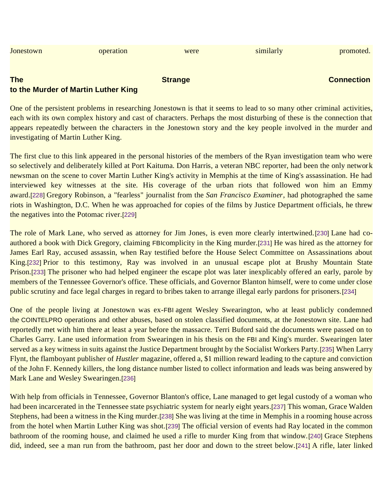| Jonestown                           | operation | were           | similarly | promoted.         |
|-------------------------------------|-----------|----------------|-----------|-------------------|
|                                     |           |                |           |                   |
| <b>The</b>                          |           | <b>Strange</b> |           | <b>Connection</b> |
| to the Murder of Martin Luther King |           |                |           |                   |

One of the persistent problems in researching Jonestown is that it seems to lead to so many other criminal activities, each with its own complex history and cast of characters. Perhaps the most disturbing of these is the connection that appears repeatedly between the characters in the Jonestown story and the key people involved in the murder and investigating of Martin Luther King.

The first clue to this link appeared in the personal histories of the members of the Ryan investigation team who were so selectively and deliberately killed at Port Kaituma. Don Harris, a veteran NBC reporter, had been the only network newsman on the scene to cover Martin Luther King's activity in Memphis at the time of King's assassination. He had interviewed key witnesses at the site. His coverage of the urban riots that followed won him an Emmy award.[\[228\]](https://ratical.org/ratville/JFK/JohnJudge/Jonestown.html#fn228) Gregory Robinson, a "fearless" journalist from the *San Francisco Examiner*, had photographed the same riots in Washington, D.C. When he was approached for copies of the films by Justice Department officials, he threw the negatives into the Potomac river.[\[229\]](https://ratical.org/ratville/JFK/JohnJudge/Jonestown.html#fn229)

The role of Mark Lane, who served as attorney for Jim Jones, is even more clearly intertwined.[\[230\]](https://ratical.org/ratville/JFK/JohnJudge/Jonestown.html#fn230) Lane had coauthored a book with Dick Gregory, claiming FBIcomplicity in the King murder.[\[231\]](https://ratical.org/ratville/JFK/JohnJudge/Jonestown.html#fn231) He was hired as the attorney for James Earl Ray, accused assassin, when Ray testified before the House Select Committee on Assassinations about King.[\[232\]](https://ratical.org/ratville/JFK/JohnJudge/Jonestown.html#fn232) Prior to this testimony, Ray was involved in an unusual escape plot at Brushy Mountain State Prison.[\[233\]](https://ratical.org/ratville/JFK/JohnJudge/Jonestown.html#fn233) The prisoner who had helped engineer the escape plot was later inexplicably offered an early, parole by members of the Tennessee Governor's office. These officials, and Governor Blanton himself, were to come under close public scrutiny and face legal charges in regard to bribes taken to arrange illegal early pardons for prisoners.[\[234\]](https://ratical.org/ratville/JFK/JohnJudge/Jonestown.html#fn234)

One of the people living at Jonestown was ex-FBI agent Wesley Swearington, who at least publicly condemned the COINTELPRO operations and other abuses, based on stolen classified documents, at the Jonestown site. Lane had reportedly met with him there at least a year before the massacre. Terri Buford said the documents were passed on to Charles Garry. Lane used information from Swearingen in his thesis on the FBI and King's murder. Swearingen later served as a key witness in suits against the Justice Department brought by the Socialist Workers Party.[\[235\]](https://ratical.org/ratville/JFK/JohnJudge/Jonestown.html#fn235) When Larry Flynt, the flamboyant publisher of *Hustler* magazine, offered a, \$1 million reward leading to the capture and conviction of the John F. Kennedy killers, the long distance number listed to collect information and leads was being answered by Mark Lane and Wesley Swearingen.[\[236\]](https://ratical.org/ratville/JFK/JohnJudge/Jonestown.html#fn236)

With help from officials in Tennessee, Governor Blanton's office, Lane managed to get legal custody of a woman who had been incarcerated in the Tennessee state psychiatric system for nearly eight years.[\[237\]](https://ratical.org/ratville/JFK/JohnJudge/Jonestown.html#fn237) This woman, Grace Walden Stephens, had been a witness in the King murder.[\[238\]](https://ratical.org/ratville/JFK/JohnJudge/Jonestown.html#fn238) She was living at the time in Memphis in a rooming house across from the hotel when Martin Luther King was shot.[\[239\]](https://ratical.org/ratville/JFK/JohnJudge/Jonestown.html#fn239) The official version of events had Ray located in the common bathroom of the rooming house, and claimed he used a rifle to murder King from that window.[\[240\]](https://ratical.org/ratville/JFK/JohnJudge/Jonestown.html#fn240) Grace Stephens did, indeed, see a man run from the bathroom, past her door and down to the street below.[\[241\]](https://ratical.org/ratville/JFK/JohnJudge/Jonestown.html#fn241) A rifle, later linked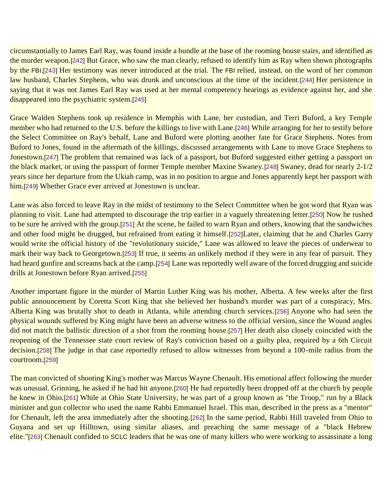circumstantially to James Earl Ray, was found inside a bundle at the base of the rooming house stairs, and identified as the murder weapon.[\[242\]](https://ratical.org/ratville/JFK/JohnJudge/Jonestown.html#fn242) But Grace, who saw the man clearly, refused to identify him as Ray when shown photographs by the FBI.[\[243\]](https://ratical.org/ratville/JFK/JohnJudge/Jonestown.html#fn243) Her testimony was never introduced at the trial. The FBI relied, instead, on the word of her common law husband, Charles Stephens, who was drunk and unconscious at the time of the incident.[\[244\]](https://ratical.org/ratville/JFK/JohnJudge/Jonestown.html#fn244) Her persistence in saying that it was not James Earl Ray was used at her mental competency hearings as evidence against her, and she disappeared into the psychiatric system.[\[245\]](https://ratical.org/ratville/JFK/JohnJudge/Jonestown.html#fn245)

Grace Walden Stephens took up residence in Memphis with Lane, her custodian, and Terri Buford, a key Temple member who had returned to the U.S. before the killings to live with Lane.[\[246\]](https://ratical.org/ratville/JFK/JohnJudge/Jonestown.html#fn246) While arranging for her to testify before the Select Committee on Ray's behalf, Lane and Buford were plotting another fate for Grace Stephens. Notes from Buford to Jones, found in the aftermath of the killings, discussed arrangements with Lane to move Grace Stephens to Jonestown.[\[247\]](https://ratical.org/ratville/JFK/JohnJudge/Jonestown.html#fn247) The problem that remained was lack of a passport, but Buford suggested either getting a passport on the black market, or using the passport of former Temple member Maxine Swaney.[\[248\]](https://ratical.org/ratville/JFK/JohnJudge/Jonestown.html#fn248) Swaney, dead for nearly 2-1/2 years since her departure from the Ukiah camp, was in no position to argue and Jones apparently kept her passport with him.[\[249\]](https://ratical.org/ratville/JFK/JohnJudge/Jonestown.html#fn249) Whether Grace ever arrived at Jonestown is unclear.

Lane was also forced to leave Ray in the midst of testimony to the Select Committee when he got word that Ryan was planning to visit. Lane had attempted to discourage the trip earlier in a vaguely threatening letter.[\[250\]](https://ratical.org/ratville/JFK/JohnJudge/Jonestown.html#fn250) Now he rushed to be sure he arrived with the group.[\[251\]](https://ratical.org/ratville/JFK/JohnJudge/Jonestown.html#fn251) At the scene, he failed to warn Ryan and others, knowing that the sandwiches and other food might be drugged, but refrained from eating it himself.[\[252\]](https://ratical.org/ratville/JFK/JohnJudge/Jonestown.html#fn252)Later, claiming that he and Charles Garry would write the official history of the "revolutionary suicide," Lane was allowed to leave the pieces of underwear to mark their way back to Georgetown.[\[253\]](https://ratical.org/ratville/JFK/JohnJudge/Jonestown.html#fn253) If true, it seems an unlikely method if they were in any fear of pursuit. They had heard gunfire and screams back at the camp.[\[254\]](https://ratical.org/ratville/JFK/JohnJudge/Jonestown.html#fn254) Lane was reportedly well aware of the forced drugging and suicide drills at Jonestown before Ryan arrived.[\[255\]](https://ratical.org/ratville/JFK/JohnJudge/Jonestown.html#fn255)

Another important figure in the murder of Martin Luther King was his mother, Alberta. A few weeks after the first public announcement by Coretta Scott King that she believed her husband's murder was part of a conspiracy, Mrs. Alberta King was brutally shot to death in Atlanta, while attending church services.[\[256\]](https://ratical.org/ratville/JFK/JohnJudge/Jonestown.html#fn256) Anyone who had seen the physical wounds suffered by King might have been an adverse witness to the official version, since the Wound angles did not match the ballistic direction of a shot from the rooming house.[\[257\]](https://ratical.org/ratville/JFK/JohnJudge/Jonestown.html#fn257) Her death also closely coincided with the reopening of the Tennessee state court review of Ray's conviction based on a guilty plea, required by a 6th Circuit decision.[\[258\]](https://ratical.org/ratville/JFK/JohnJudge/Jonestown.html#fn258) The judge in that case reportedly refused to allow witnesses from beyond a 100-mile radius from the courtroom.[\[259\]](https://ratical.org/ratville/JFK/JohnJudge/Jonestown.html#fn259)

The man convicted of shooting King's mother was Marcus Wayne Chenault. His emotional affect following the murder was unusual. Grinning, he asked if he had hit anyone.[\[260\]](https://ratical.org/ratville/JFK/JohnJudge/Jonestown.html#fn260) He had reportedly been dropped off at the church by people he knew in Ohio.[\[261\]](https://ratical.org/ratville/JFK/JohnJudge/Jonestown.html#fn261) While at Ohio State University, he was part of a group known as "the Troop," run by a Black minister and gun collector who used the name Rabbi Emmanuel Israel. This man, described in the press as a "mentor" for Chenault, left the area immediately after the shooting.[\[262\]](https://ratical.org/ratville/JFK/JohnJudge/Jonestown.html#fn262) In the same period, Rabbi Hill traveled from Ohio to Guyana and set up Hilltown, using similar aliases, and preaching the same message of a "black Hebrew elite."[\[263\]](https://ratical.org/ratville/JFK/JohnJudge/Jonestown.html#fn263) Chenault confided to SCLC leaders that he was one of many killers who were working to assassinate a long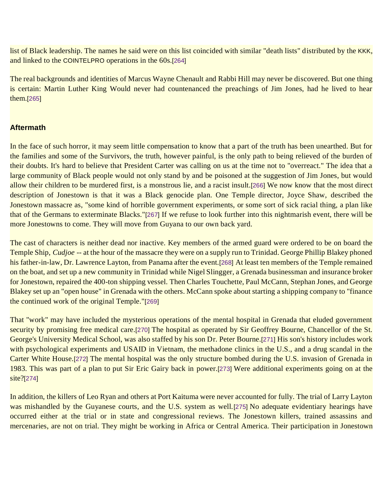list of Black leadership. The names he said were on this list coincided with similar "death lists" distributed by the KKK, and linked to the COINTELPRO operations in the 60s.[\[264\]](https://ratical.org/ratville/JFK/JohnJudge/Jonestown.html#fn264)

The real backgrounds and identities of Marcus Wayne Chenault and Rabbi Hill may never be discovered. But one thing is certain: Martin Luther King Would never had countenanced the preachings of Jim Jones, had he lived to hear them.[\[265\]](https://ratical.org/ratville/JFK/JohnJudge/Jonestown.html#fn265)

## **Aftermath**

In the face of such horror, it may seem little compensation to know that a part of the truth has been unearthed. But for the families and some of the Survivors, the truth, however painful, is the only path to being relieved of the burden of their doubts. It's hard to believe that President Carter was calling on us at the time not to "overreact." The idea that a large community of Black people would not only stand by and be poisoned at the suggestion of Jim Jones, but would allow their children to be murdered first, is a monstrous lie, and a racist insult.[\[266\]](https://ratical.org/ratville/JFK/JohnJudge/Jonestown.html#fn266) We now know that the most direct description of Jonestown is that it was a Black genocide plan. One Temple director, Joyce Shaw, described the Jonestown massacre as, "some kind of horrible government experiments, or some sort of sick racial thing, a plan like that of the Germans to exterminate Blacks."[\[267\]](https://ratical.org/ratville/JFK/JohnJudge/Jonestown.html#fn267) If we refuse to look further into this nightmarish event, there will be more Jonestowns to come. They will move from Guyana to our own back yard.

The cast of characters is neither dead nor inactive. Key members of the armed guard were ordered to be on board the Temple Ship, *Cudjoe* -- at the hour of the massacre they were on a supply run to Trinidad. George Phillip Blakey phoned his father-in-law, Dr. Lawrence Layton, from Panama after the event.[\[268\]](https://ratical.org/ratville/JFK/JohnJudge/Jonestown.html#fn268) At least ten members of the Temple remained on the boat, and set up a new community in Trinidad while Nigel Slingger, a Grenada businessman and insurance broker for Jonestown, repaired the 400-ton shipping vessel. Then Charles Touchette, Paul McCann, Stephan Jones, and George Blakey set up an "open house" in Grenada with the others. McCann spoke about starting a shipping company to "finance the continued work of the original Temple."[\[269\]](https://ratical.org/ratville/JFK/JohnJudge/Jonestown.html#fn269)

That "work" may have included the mysterious operations of the mental hospital in Grenada that eluded government security by promising free medical care.[\[270\]](https://ratical.org/ratville/JFK/JohnJudge/Jonestown.html#fn270) The hospital as operated by Sir Geoffrey Bourne, Chancellor of the St. George's University Medical School, was also staffed by his son Dr. Peter Bourne.[\[271\]](https://ratical.org/ratville/JFK/JohnJudge/Jonestown.html#fn271) His son's history includes work with psychological experiments and USAID in Vietnam, the methadone clinics in the U.S., and a drug scandal in the Carter White House.[\[272\]](https://ratical.org/ratville/JFK/JohnJudge/Jonestown.html#fn272) The mental hospital was the only structure bombed during the U.S. invasion of Grenada in 1983. This was part of a plan to put Sir Eric Gairy back in power.[\[273\]](https://ratical.org/ratville/JFK/JohnJudge/Jonestown.html#fn273) Were additional experiments going on at the site?[\[274\]](https://ratical.org/ratville/JFK/JohnJudge/Jonestown.html#fn274)

In addition, the killers of Leo Ryan and others at Port Kaituma were never accounted for fully. The trial of Larry Layton was mishandled by the Guyanese courts, and the U.S. system as well.[\[275\]](https://ratical.org/ratville/JFK/JohnJudge/Jonestown.html#fn275) No adequate evidentiary hearings have occurred either at the trial or in state and congressional reviews. The Jonestown killers, trained assassins and mercenaries, are not on trial. They might be working in Africa or Central America. Their participation in Jonestown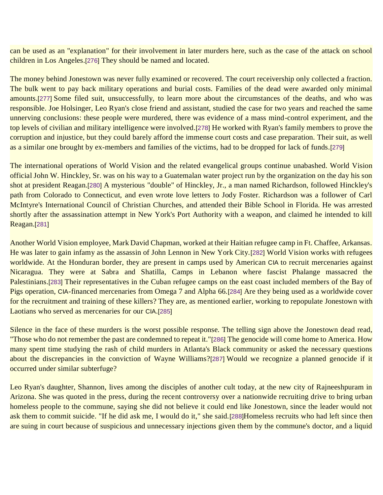can be used as an "explanation" for their involvement in later murders here, such as the case of the attack on school children in Los Angeles.[\[276\]](https://ratical.org/ratville/JFK/JohnJudge/Jonestown.html#fn276) They should be named and located.

The money behind Jonestown was never fully examined or recovered. The court receivership only collected a fraction. The bulk went to pay back military operations and burial costs. Families of the dead were awarded only minimal amounts.[\[277\]](https://ratical.org/ratville/JFK/JohnJudge/Jonestown.html#fn277) Some filed suit, unsuccessfully, to learn more about the circumstances of the deaths, and who was responsible. Joe Holsinger, Leo Ryan's close friend and assistant, studied the case for two years and reached the same unnerving conclusions: these people were murdered, there was evidence of a mass mind-control experiment, and the top levels of civilian and military intelligence were involved.[\[278\]](https://ratical.org/ratville/JFK/JohnJudge/Jonestown.html#fn278) He worked with Ryan's family members to prove the corruption and injustice, but they could barely afford the immense court costs and case preparation. Their suit, as well as a similar one brought by ex-members and families of the victims, had to be dropped for lack of funds.[\[279\]](https://ratical.org/ratville/JFK/JohnJudge/Jonestown.html#fn279)

The international operations of World Vision and the related evangelical groups continue unabashed. World Vision official John W. Hinckley, Sr. was on his way to a Guatemalan water project run by the organization on the day his son shot at president Reagan.[\[280\]](https://ratical.org/ratville/JFK/JohnJudge/Jonestown.html#fn280) A mysterious "double" of Hinckley, Jr., a man named Richardson, followed Hinckley's path from Colorado to Connecticut, and even wrote love letters to Jody Foster. Richardson was a follower of Carl McIntyre's International Council of Christian Churches, and attended their Bible School in Florida. He was arrested shortly after the assassination attempt in New York's Port Authority with a weapon, and claimed he intended to kill Reagan.[\[281\]](https://ratical.org/ratville/JFK/JohnJudge/Jonestown.html#fn281)

Another World Vision employee, Mark David Chapman, worked at their Haitian refugee camp in Ft. Chaffee, Arkansas. He was later to gain infamy as the assassin of John Lennon in New York City.[\[282\]](https://ratical.org/ratville/JFK/JohnJudge/Jonestown.html#fn282) World Vision works with refugees worldwide. At the Honduran border, they are present in camps used by American CIA to recruit mercenaries against Nicaragua. They were at Sabra and Shatilla, Camps in Lebanon where fascist Phalange massacred the Palestinians.[\[283\]](https://ratical.org/ratville/JFK/JohnJudge/Jonestown.html#fn283) Their representatives in the Cuban refugee camps on the east coast included members of the Bay of Pigs operation, CIA-financed mercenaries from Omega 7 and Alpha 66.[\[284\]](https://ratical.org/ratville/JFK/JohnJudge/Jonestown.html#fn284) Are they being used as a worldwide cover for the recruitment and training of these killers? They are, as mentioned earlier, working to repopulate Jonestown with Laotians who served as mercenaries for our CIA.[\[285\]](https://ratical.org/ratville/JFK/JohnJudge/Jonestown.html#fn285)

Silence in the face of these murders is the worst possible response. The telling sign above the Jonestown dead read, "Those who do not remember the past are condemned to repeat it."[\[286\]](https://ratical.org/ratville/JFK/JohnJudge/Jonestown.html#fn286) The genocide will come home to America. How many spent time studying the rash of child murders in Atlanta's Black community or asked the necessary questions about the discrepancies in the conviction of Wayne Williams?[\[287\]](https://ratical.org/ratville/JFK/JohnJudge/Jonestown.html#fn287) Would we recognize a planned genocide if it occurred under similar subterfuge?

Leo Ryan's daughter, Shannon, lives among the disciples of another cult today, at the new city of Rajneeshpuram in Arizona. She was quoted in the press, during the recent controversy over a nationwide recruiting drive to bring urban homeless people to the commune, saying she did not believe it could end like Jonestown, since the leader would not ask them to commit suicide. "If he did ask me, I would do it," she said.[\[288\]](https://ratical.org/ratville/JFK/JohnJudge/Jonestown.html#fn288)Homeless recruits who had left since then are suing in court because of suspicious and unnecessary injections given them by the commune's doctor, and a liquid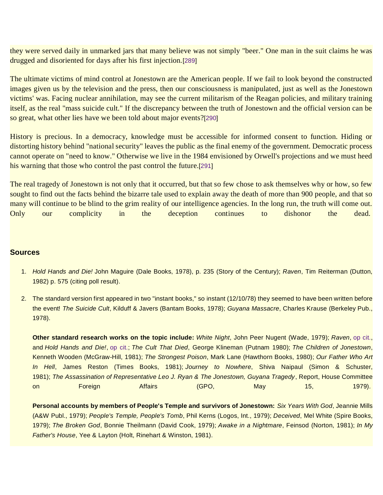they were served daily in unmarked jars that many believe was not simply "beer." One man in the suit claims he was drugged and disoriented for days after his first injection.[\[289\]](https://ratical.org/ratville/JFK/JohnJudge/Jonestown.html#fn289)

The ultimate victims of mind control at Jonestown are the American people. If we fail to look beyond the constructed images given us by the television and the press, then our consciousness is manipulated, just as well as the Jonestown victims' was. Facing nuclear annihilation, may see the current militarism of the Reagan policies, and military training itself, as the real "mass suicide cult." If the discrepancy between the truth of Jonestown and the official version can be so great, what other lies have we been told about major events?[\[290\]](https://ratical.org/ratville/JFK/JohnJudge/Jonestown.html#fn290)

History is precious. In a democracy, knowledge must be accessible for informed consent to function. Hiding or distorting history behind "national security" leaves the public as the final enemy of the government. Democratic process cannot operate on "need to know." Otherwise we live in the 1984 envisioned by Orwell's projections and we must heed his warning that those who control the past control the future.[\[291\]](https://ratical.org/ratville/JFK/JohnJudge/Jonestown.html#fn291)

The real tragedy of Jonestown is not only that it occurred, but that so few chose to ask themselves why or how, so few sought to find out the facts behind the bizarre tale used to explain away the death of more than 900 people, and that so many will continue to be blind to the grim reality of our intelligence agencies. In the long run, the truth will come out. Only our complicity in the deception continues to dishonor the dead.

#### **Sources**

- 1. *Hold Hands and Die!* John Maguire (Dale Books, 1978), p. 235 (Story of the Century); *Raven*, Tim Reiterman (Dutton, 1982) p. 575 (citing poll result).
- 2. The standard version first appeared in two "instant books," so instant (12/10/78) they seemed to have been written before the event! *The Suicide Cult*, Kilduff & Javers (Bantam Books, 1978); *Guyana Massacre*, Charles Krause (Berkeley Pub., 1978).

**Other standard research works on the topic include:** *White Night*, John Peer Nugent (Wade, 1979); *Raven*, [op cit.,](https://ratical.org/ratville/JFK/JohnJudge/Jonestown.html#fn1) and *Hold Hands and Die!*, [op cit.;](https://ratical.org/ratville/JFK/JohnJudge/Jonestown.html#fn1) *The Cult That Died*, George Klineman (Putnam 1980); *The Children of Jonestown*, Kenneth Wooden (McGraw-Hill, 1981); *The Strongest Poison*, Mark Lane (Hawthorn Books, 1980); *Our Father Who Art In Hell*, James Reston (Times Books, 1981); *Journey to Nowhere*, Shiva Naipaul (Simon & Schuster, 1981); *The Assassination of Representative Leo J. Ryan & The Jonestown, Guyana Tragedy*, Report, House Committee on Foreign Affairs (GPO, May 15, 1979).

**Personal accounts by members of People's Temple and survivors of Jonestown:** *Six Years With God*, Jeannie Mills (A&W Publ., 1979); *People's Temple, People's Tomb*, Phil Kerns (Logos, Int., 1979); *Deceived*, Mel White (Spire Books, 1979); *The Broken God*, Bonnie Theilmann (David Cook, 1979); *Awake in a Nightmare*, Feinsod (Norton, 1981); *In My Father's House*, Yee & Layton (Holt, Rinehart & Winston, 1981).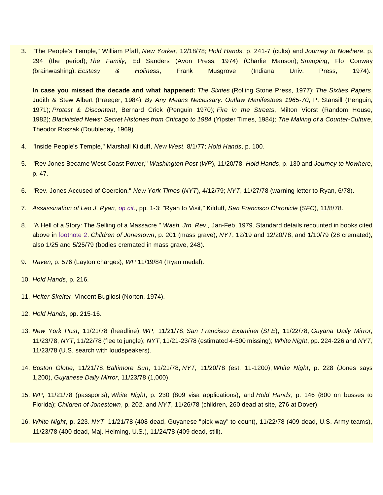3. "The People's Temple," William Pfaff, *New Yorker*, 12/18/78; *Hold Hands*, p. 241-7 (cults) and *Journey to Nowhere*, p. 294 (the period); *The Family*, Ed Sanders (Avon Press, 1974) (Charlie Manson); *Snapping*, Flo Conway (brainwashing); *Ecstasy & Holiness*, Frank Musgrove (Indiana Univ. Press, 1974).

**In case you missed the decade and what happened:** *The Sixties* (Rolling Stone Press, 1977); *The Sixties Papers*, Judith & Stew Albert (Praeger, 1984); *By Any Means Necessary: Outlaw Manifestoes 1965-70*, P. Stansill (Penguin, 1971); *Protest & Discontent*, Bernard Crick (Penguin 1970); *Fire in the Streets*, Milton Viorst (Random House, 1982); *Blacklisted News: Secret Histories from Chicago to 1984* (Yipster Times, 1984); *The Making of a Counter-Culture*, Theodor Roszak (Doubleday, 1969).

- 4. "Inside People's Temple," Marshall Kilduff, *New West*, 8/1/77; *Hold Hands*, p. 100.
- 5. "Rev Jones Became West Coast Power," *Washington Post* (*WP*), 11/20/78. *Hold Hands*, p. 130 and *Journey to Nowhere*, p. 47.
- 6. "Rev. Jones Accused of Coercion," *New York Times* (*NYT*), 4/12/79; *NYT*, 11/27/78 (warning letter to Ryan, 6/78).
- 7. *Assassination of Leo J. Ryan*, *op [cit.](https://ratical.org/ratville/JFK/JohnJudge/Jonestown.html#ALJR)*, pp. 1-3; "Ryan to Visit," Kilduff, *San Francisco Chronicle* (*SFC*), 11/8/78.
- 8. "A Hell of a Story: The Selling of a Massacre," *Wash. Jrn. Rev.,* Jan-Feb, 1979. Standard details recounted in books cited above in [footnote 2.](https://ratical.org/ratville/JFK/JohnJudge/Jonestown.html#fn2) *Children of Jonestown*, p. 201 (mass grave); *NYT*, 12/19 and 12/20/78, and 1/10/79 (28 cremated), also 1/25 and 5/25/79 (bodies cremated in mass grave, 248).
- 9. *Raven*, p. 576 (Layton charges); *WP* 11/19/84 (Ryan medal).
- 10. *Hold Hands*, p. 216.
- 11. *Helter Skelter*, Vincent Bugliosi (Norton, 1974).
- 12. *Hold Hands*, pp. 215-16.
- 13. *New York Post*, 11/21/78 (headline); *WP*, 11/21/78, *San Francisco Examiner* (*SFE*), 11/22/78, *Guyana Daily Mirror*, 11/23/78, *NYT*, 11/22/78 (flee to jungle); *NYT*, 11/21-23/78 (estimated 4-500 missing); *White Night*, pp. 224-226 and *NYT*, 11/23/78 (U.S. search with loudspeakers).
- 14. *Boston Globe*, 11/21/78, *Baltimore Sun*, 11/21/78, *NYT*, 11/20/78 (est. 11-1200); *White Night*, p. 228 (Jones says 1,200), *Guyanese Daily Mirror*, 11/23/78 (1,000).
- 15. *WP*, 11/21/78 (passports); *White Night*, p. 230 (809 visa applications), and *Hold Hands*, p. 146 (800 on busses to Florida); *Children of Jonestown*, p. 202, and *NYT*, 11/26/78 (children, 260 dead at site, 276 at Dover).
- 16. *White Night*, p. 223. *NYT*, 11/21/78 (408 dead, Guyanese "pick way" to count), 11/22/78 (409 dead, U.S. Army teams), 11/23/78 (400 dead, Maj. Helming, U.S.), 11/24/78 (409 dead, still).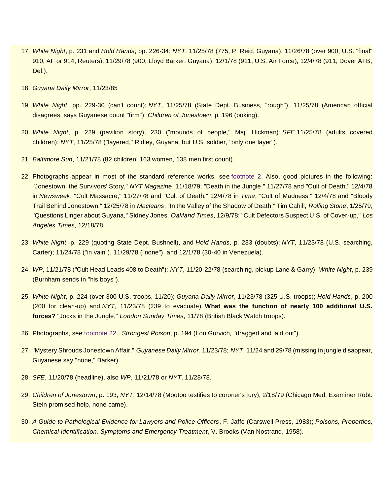- 17. *White Night*, p. 231 and *Hold Hands*, pp. 226-34; *NYT*, 11/25/78 (775, P. Reid, Guyana), 11/26/78 (over 900, U.S. "final" 910, AF or 914, Reuters); 11/29/78 (900, Lloyd Barker, Guyana), 12/1/78 (911, U.S. Air Force), 12/4/78 (911, Dover AFB, Del.).
- 18. *Guyana Daily Mirror*, 11/23/85
- 19. *White Night*, pp. 229-30 (can't count); *NYT*, 11/25/78 (State Dept. Business, "rough"), 11/25/78 (American official disagrees, says Guyanese count "firm"); *Children of Jonestown*, p. 196 (poking).
- 20. *White Night*, p. 229 (pavilion story), 230 ("mounds of people," Maj. Hickman); *SFE* 11/25/78 (adults covered children); *NYT*, 11/25/78 ("layered," Ridley, Guyana, but U.S. soldier, "only one layer").
- 21. *Baltimore Sun*, 11/21/78 (82 children, 163 women, 138 men first count).
- 22. Photographs appear in most of the standard reference works, see [footnote 2.](https://ratical.org/ratville/JFK/JohnJudge/Jonestown.html#fn2) Also, good pictures in the following: "Jonestown: the Survivors' Story," *NYT Magazine*, 11/18/79; "Death in the Jungle," 11/27/78 and "Cult of Death," 12/4/78 in *Newsweek*; "Cult Massacre," 11/27/78 and "Cult of Death," 12/4/78 in *Time*; "Cult of Madness," 12/4/78 and "Bloody Trail Behind Jonestown," 12/25/78 in *Macleans*; "In the Valley of the Shadow of Death," Tim Cahill, *Rolling Stone*, 1/25/79; "Questions Linger about Guyana," Sidney Jones, *Oakland Times*, 12/9/78; "Cult Defectors Suspect U.S. of Cover-up," *Los Angeles Times*, 12/18/78.
- 23. *White Night*, p. 229 (quoting State Dept. Bushnell), and *Hold Hands*, p. 233 (doubts); *NYT*, 11/23/78 (U.S. searching, Carter); 11/24/78 ("in vain"), 11/29/78 ("none"), and 12/1/78 (30-40 in Venezuela).
- 24. *WP*, 11/21/78 ("Cult Head Leads 408 to Death"); *NYT*, 11/20-22/78 (searching, pickup Lane & Garry); *White Night*, p. 239 (Burnham sends in "his boys").
- 25. *White Night*, p. 224 (over 300 U.S. troops, 11/20); *Guyana Daily Mirror*, 11/23/78 (325 U.S. troops); *Hold Hands*, p. 200 (200 for clean-up) and *NYT*, 11/23/78 (239 to evacuate). **What was the function of nearly 100 additional U.S. forces?** "Jocks in the Jungle," *London Sunday Times*, 11/78 (British Black Watch troops).
- 26. Photographs, see [footnote 22.](https://ratical.org/ratville/JFK/JohnJudge/Jonestown.html#fn22) *Strongest Poison*, p. 194 (Lou Gurvich, "dragged and laid out").
- 27. "Mystery Shrouds Jonestown Affair," *Guyanese Daily Mirror*, 11/23/78; *NYT*, 11/24 and 29/78 (missing in jungle disappear, Guyanese say "none," Barker).
- 28. *SFE*, 11/20/78 (headline), also *WP*, 11/21/78 or *NYT*, 11/28/78.
- 29. *Children of Jonestown*, p. 193; *NYT*, 12/14/78 (Mootoo testifies to coroner's jury), 2/18/79 (Chicago Med. Examiner Robt. Stein promised help, none came).
- 30. *A Guide to Pathological Evidence for Lawyers and Police Officers*, F. Jaffe (Carswell Press, 1983); *Poisons, Properties, Chemical Identification, Symptoms and Emergency Treatment*, V. Brooks (Van Nostrand, 1958).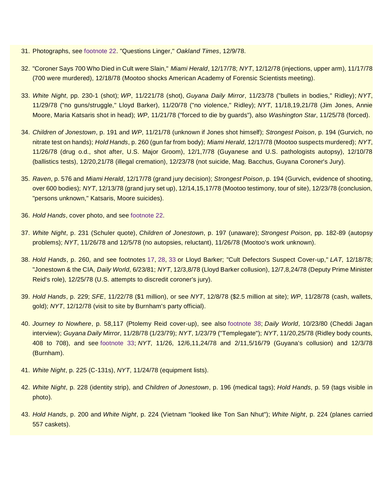- 31. Photographs, see [footnote 22.](https://ratical.org/ratville/JFK/JohnJudge/Jonestown.html#fn22) "Questions Linger," *Oakland Times*, 12/9/78.
- 32. "Coroner Says 700 Who Died in Cult were Slain," *Miami Herald*, 12/17/78; *NYT*, 12/12/78 (injections, upper arm), 11/17/78 (700 were murdered), 12/18/78 (Mootoo shocks American Academy of Forensic Scientists meeting).
- 33. *White Night*, pp. 230-1 (shot); *WP*, 11/221/78 (shot), *Guyana Daily Mirror*, 11/23/78 ("bullets in bodies," Ridley); *NYT*, 11/29/78 ("no guns/struggle," Lloyd Barker), 11/20/78 ("no violence," Ridley); *NYT*, 11/18,19,21/78 (Jim Jones, Annie Moore, Maria Katsaris shot in head); *WP*, 11/21/78 ("forced to die by guards"), also *Washington Star*, 11/25/78 (forced).
- 34. *Children of Jonestown*, p. 191 and *WP*, 11/21/78 (unknown if Jones shot himself); *Strongest Poison*, p. 194 (Gurvich, no nitrate test on hands); *Hold Hands*, p. 260 (gun far from body); *Miami Herald*, 12/17/78 (Mootoo suspects murdered); *NYT*, 11/26/78 (drug o.d., shot after, U.S. Major Groom), 12/1,7/78 (Guyanese and U.S. pathologists autopsy), 12/10/78 (ballistics tests), 12/20,21/78 (illegal cremation), 12/23/78 (not suicide, Mag. Bacchus, Guyana Coroner's Jury).
- 35. *Raven*, p. 576 and *Miami Herald*, 12/17/78 (grand jury decision); *Strongest Poison*, p. 194 (Gurvich, evidence of shooting, over 600 bodies); *NYT*, 12/13/78 (grand jury set up), 12/14,15,17/78 (Mootoo testimony, tour of site), 12/23/78 (conclusion, "persons unknown," Katsaris, Moore suicides).
- 36. *Hold Hands*, cover photo, and see [footnote 22.](https://ratical.org/ratville/JFK/JohnJudge/Jonestown.html#fn22)
- 37. *White Night*, p. 231 (Schuler quote), *Children of Jonestown*, p. 197 (unaware); *Strongest Poison*, pp. 182-89 (autopsy problems); *NYT*, 11/26/78 and 12/5/78 (no autopsies, reluctant), 11/26/78 (Mootoo's work unknown).
- 38. *Hold Hands*, p. 260, and see footnotes [17,](https://ratical.org/ratville/JFK/JohnJudge/Jonestown.html#fn17) [28,](https://ratical.org/ratville/JFK/JohnJudge/Jonestown.html#fn28) [33](https://ratical.org/ratville/JFK/JohnJudge/Jonestown.html#fn33) or Lloyd Barker; "Cult Defectors Suspect Cover-up," *LAT*, 12/18/78; "Jonestown & the CIA, *Daily World*, 6/23/81; *NYT*, 12/3,8/78 (Lloyd Barker collusion), 12/7,8,24/78 (Deputy Prime Minister Reid's role), 12/25/78 (U.S. attempts to discredit coroner's jury).
- 39. *Hold Hands*, p. 229; *SFE*, 11/22/78 (\$1 million), or see *NYT*, 12/8/78 (\$2.5 million at site); *WP*, 11/28/78 (cash, wallets, gold); *NYT*, 12/12/78 (visit to site by Burnham's party official).
- 40. *Journey to Nowhere*, p. 58,117 (Ptolemy Reid cover-up), see also [footnote 38;](https://ratical.org/ratville/JFK/JohnJudge/Jonestown.html#fn38) *Daily World*, 10/23/80 (Cheddi Jagan interview); *Guyana Daily Mirror*, 11/28/78 (1/23/79); *NYT*, 1/23/79 ("Templegate"); *NYT*, 11/20,25/78 (Ridley body counts, 408 to 708), and see [footnote 33;](https://ratical.org/ratville/JFK/JohnJudge/Jonestown.html#fn33) *NYT*, 11/26, 12/6,11,24/78 and 2/11,5/16/79 (Guyana's collusion) and 12/3/78 (Burnham).
- 41. *White Night*, p. 225 (C-131s), *NYT*, 11/24/78 (equipment lists).
- 42. *White Night*, p. 228 (identity strip), and *Children of Jonestown*, p. 196 (medical tags); *Hold Hands*, p. 59 (tags visible in photo).
- 43. *Hold Hands*, p. 200 and *White Night*, p. 224 (Vietnam "looked like Ton San Nhut"); *White Night*, p. 224 (planes carried 557 caskets).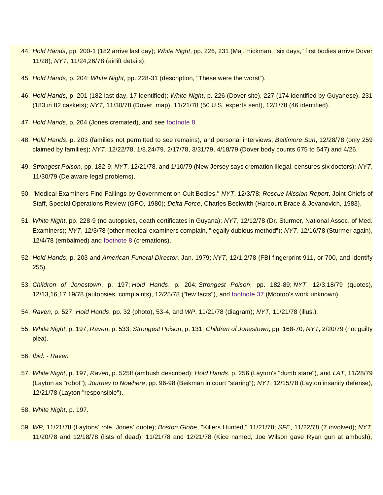- 44. *Hold Hands*, pp. 200-1 (182 arrive last day); *White Night*, pp. 226, 231 (Maj. Hickman, "six days," first bodies arrive Dover 11/28); *NYT*, 11/24,26/78 (airlift details).
- 45. *Hold Hands*, p. 204; *White Night*, pp. 228-31 (description, "These were the worst").
- 46. *Hold Hands*, p. 201 (182 last day, 17 identified); *White Night*, p. 226 (Dover site), 227 (174 identified by Guyanese), 231 (183 in 82 caskets); *NYT*, 11/30/78 (Dover, map), 11/21/78 (50 U.S. experts sent), 12/1/78 (46 identified).
- 47. *Hold Hands*, p. 204 (Jones cremated), and see [footnote 8.](https://ratical.org/ratville/JFK/JohnJudge/Jonestown.html#fn8)
- 48. *Hold Hands*, p. 203 (families not permitted to see remains), and personal interviews; *Baltimore Sun*, 12/28/78 (only 259 claimed by families); *NYT*, 12/22/78, 1/8,24/79, 2/17/78, 3/31/79, 4/18/79 (Dover body counts 675 to 547) and 4/26.
- 49. *Strongest Poison*, pp. 182-9; *NYT*, 12/21/78, and 1/10/79 (New Jersey says cremation illegal, censures six doctors); *NYT*, 11/30/79 (Delaware legal problems).
- 50. "Medical Examiners Find Failings by Government on Cult Bodies," *NYT*, 12/3/78; *Rescue Mission Report*, Joint Chiefs of Staff, Special Operations Review (GPO, 1980); *Delta Force*, Charles Beckwith (Harcourt Brace & Jovanovich, 1983).
- 51. *White Night*, pp. 228-9 (no autopsies, death certificates in Guyana); *NYT*, 12/12/78 (Dr. Sturmer, National Assoc. of Med. Examiners); *NYT*, 12/3/78 (other medical examiners complain, "legally dubious method"); *NYT*, 12/16/78 (Sturmer again), 12/4/78 (embalmed) and [footnote 8](https://ratical.org/ratville/JFK/JohnJudge/Jonestown.html#fn8) (cremations).
- 52. *Hold Hands*, p. 203 and *American Funeral Director*, Jan. 1979; *NYT*, 12/1,2/78 (FBI fingerprint 911, or 700, and identify 255).
- 53. *Children of Jonestown*, p. 197; *Hold Hands*, p. 204; *Strongest Poison*, pp. 182-89; *NYT*, 12/3,18/79 (quotes), 12/13,16,17,19/78 (autopsies, complaints), 12/25/78 ("few facts"), and [footnote 37](https://ratical.org/ratville/JFK/JohnJudge/Jonestown.html#fn37) (Mootoo's work unknown).
- 54. *Raven*, p. 527; *Hold Hands*, pp. 32 (photo), 53-4, and *WP*, 11/21/78 (diagram); *NYT*, 11/21/78 (illus.).
- 55. *White Night*, p. 197; *Raven*, p. 533; *Strongest Poison*, p. 131; *Children of Jonestown*, pp. 168-70; *NYT*, 2/20/79 (not guilty plea).
- 56. *Ibid. - Raven*
- 57. *White Night*, p. 197, *Raven*, p. 525ff (ambush described); *Hold Hands*, p. 256 (Layton's "dumb stare"), and *LAT*, 11/28/79 (Layton as "robot"); *Journey to Nowhere*, pp. 96-98 (Beikman in court "staring"); *NYT*, 12/15/78 (Layton insanity defense), 12/21/78 (Layton "responsible").
- 58. *White Night*, p. 197.
- 59. *WP*, 11/21/78 (Laytons' role, Jones' quote); *Boston Globe*, "Killers Hunted," 11/21/78; *SFE*, 11/22/78 (7 involved); *NYT*, 11/20/78 and 12/18/78 (lists of dead), 11/21/78 and 12/21/78 (Kice named, Joe Wilson gave Ryan gun at ambush),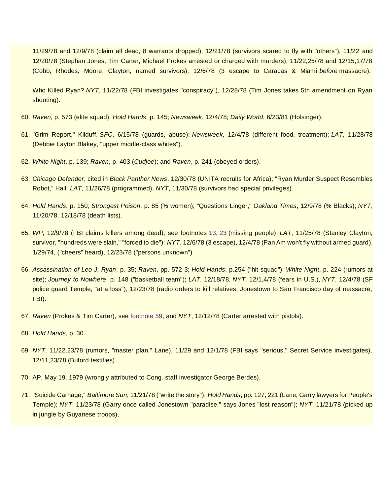11/29/78 and 12/9/78 (claim all dead, 8 warrants dropped), 12/21/78 (survivors scared to fly with "others"), 11/22 and 12/20/78 (Stephan Jones, Tim Carter, Michael Prokes arrested or charged with murders), 11/22,25/78 and 12/15,17/78 (Cobb, Rhodes, Moore, Clayton, named survivors), 12/6/78 (3 escape to Caracas & Miami *before* massacre).

Who Killed Ryan? *NYT*, 11/22/78 (FBI investigates "conspiracy"), 12/28/78 (Tim Jones takes 5th amendment on Ryan shooting).

- 60. *Raven*, p. 573 (elite squad), *Hold Hands*, p. 145; *Newsweek*, 12/4/78; *Daily World*, 6/23/81 (Holsinger).
- 61. "Grim Report," Kilduff, *SFC*, 6/15/78 (guards, abuse); *Newsweek*, 12/4/78 (different food, treatment); *LAT*, 11/28/78 (Debbie Layton Blakey, "upper middle-class whites").
- 62. *White Night*, p. 139; *Raven*, p. 403 (*Cudjoe*); and *Raven*, p. 241 (obeyed orders).
- 63. *Chicago Defender*, cited in *Black Panther News*, 12/30/78 (UNITA recruits for Africa); "Ryan Murder Suspect Resembles Robot," Hall, *LAT*, 11/26/78 (programmed), *NYT*, 11/30/78 (survivors had special privileges).
- 64. *Hold Hands*, p. 150; *Strongest Poison*, p. 85 (% women); "Questions Linger," *Oakland Times*, 12/9/78 (% Blacks); *NYT*, 11/20/78, 12/18/78 (death lists).
- 65. *WP*, 12/9/78 (FBI claims killers among dead), see footnotes [13,](https://ratical.org/ratville/JFK/JohnJudge/Jonestown.html#fn13) [23](https://ratical.org/ratville/JFK/JohnJudge/Jonestown.html#fn23) (missing people); *LAT*, 11/25/78 (Stanley Clayton, survivor, "hundreds were slain," "forced to die"); *NYT*, 12/6/78 (3 escape), 12/4/78 (Pan Am won't fly without armed guard), 1/29/74, ("cheers" heard), 12/23/78 ("persons unknown").
- 66. *Assassination of Leo J. Ryan*, p. 35; *Raven*, pp. 572-3; *Hold Hands*, p.254 ("hit squad"); *White Night*, p. 224 (rumors at site); *Journey to Nowhere*, p. 148 ("basketball team"); *LAT*, 12/18/78, *NYT*, 12/1,4/78 (fears in U.S.), *NYT*, 12/4/78 (SF police guard Temple, "at a loss"), 12/23/78 (radio orders to kill relatives, Jonestown to San Francisco day of massacre, FBI).
- 67. *Raven* (Prokes & Tim Carter), see [footnote 59,](https://ratical.org/ratville/JFK/JohnJudge/Jonestown.html#fn59) and *NYT*, 12/12/78 (Carter arrested with pistols).
- 68. *Hold Hands*, p. 30.
- 69. *NYT*, 11/22,23/78 (rumors, "master plan," Lane), 11/29 and 12/1/78 (FBI says "serious," Secret Service investigates), 12/11,23/78 (Buford testifies).
- 70. AP, May 19, 1979 (wrongly attributed to Cong. staff investigator George Berdes).
- 71. "Suicide Carnage," *Baltimore Sun*, 11/21/78 ("write the story"); *Hold Hands*, pp. 127, 221 (Lane, Garry lawyers for People's Temple); *NYT*, 11/23/78 (Garry once called Jonestown "paradise," says Jones "lost reason"); *NYT*, 11/21/78 (picked up in jungle by Guyanese troops),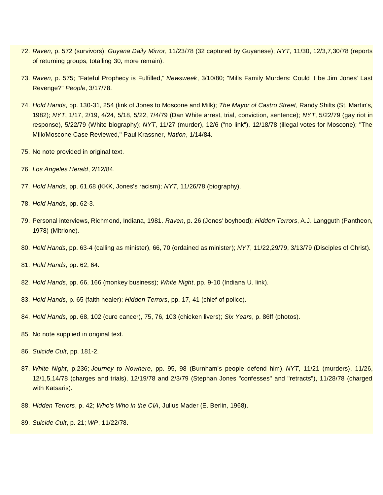- 72. *Raven*, p. 572 (survivors); *Guyana Daily Mirror*, 11/23/78 (32 captured by Guyanese); *NYT*, 11/30, 12/3,7,30/78 (reports of returning groups, totalling 30, more remain).
- 73. *Raven*, p. 575; "Fateful Prophecy is Fulfilled," *Newsweek*, 3/10/80; "Mills Family Murders: Could it be Jim Jones' Last Revenge?" *People*, 3/17/78.
- 74. *Hold Hands*, pp. 130-31, 254 (link of Jones to Moscone and Milk); *The Mayor of Castro Street*, Randy Shilts (St. Martin's, 1982); *NYT*, 1/17, 2/19, 4/24, 5/18, 5/22, 7/4/79 (Dan White arrest, trial, conviction, sentence); *NYT*, 5/22/79 (gay riot in response), 5/22/79 (White biography); *NYT*, 11/27 (murder), 12/6 ("no link"), 12/18/78 (illegal votes for Moscone); "The Milk/Moscone Case Reviewed," Paul Krassner, *Nation*, 1/14/84.
- 75. No note provided in original text.
- 76. *Los Angeles Herald*, 2/12/84.
- 77. *Hold Hands*, pp. 61,68 (KKK, Jones's racism); *NYT*, 11/26/78 (biography).
- 78. *Hold Hands*, pp. 62-3.
- 79. Personal interviews, Richmond, Indiana, 1981. *Raven*, p. 26 (Jones' boyhood); *Hidden Terrors*, A.J. Langguth (Pantheon, 1978) (Mitrione).
- 80. *Hold Hands*, pp. 63-4 (calling as minister), 66, 70 (ordained as minister); *NYT*, 11/22,29/79, 3/13/79 (Disciples of Christ).
- 81. *Hold Hands*, pp. 62, 64.
- 82. *Hold Hands*, pp. 66, 166 (monkey business); *White Night*, pp. 9-10 (Indiana U. link).
- 83. *Hold Hands*, p. 65 (faith healer); *Hidden Terrors*, pp. 17, 41 (chief of police).
- 84. *Hold Hands*, pp. 68, 102 (cure cancer), 75, 76, 103 (chicken livers); *Six Years*, p. 86ff (photos).
- 85. No note supplied in original text.
- 86. *Suicide Cult*, pp. 181-2.
- 87. *White Night*, p.236; *Journey to Nowhere*, pp. 95, 98 (Burnham's people defend him), *NYT*, 11/21 (murders), 11/26, 12/1,5,14/78 (charges and trials), 12/19/78 and 2/3/79 (Stephan Jones "confesses" and "retracts"), 11/28/78 (charged with Katsaris).
- 88. *Hidden Terrors*, p. 42; *Who's Who in the CIA*, Julius Mader (E. Berlin, 1968).
- 89. *Suicide Cult*, p. 21; *WP*, 11/22/78.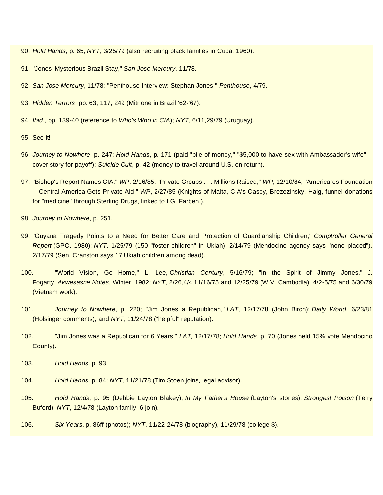- 90. *Hold Hands*, p. 65; *NYT*, 3/25/79 (also recruiting black families in Cuba, 1960).
- 91. "Jones' Mysterious Brazil Stay," *San Jose Mercury*, 11/78.
- 92. *San Jose Mercury*, 11/78; "Penthouse Interview: Stephan Jones," *Penthouse*, 4/79.
- 93. *Hidden Terrors*, pp. 63, 117, 249 (Mitrione in Brazil '62-'67).
- 94. *Ibid.,* pp. 139-40 (reference to *Who's Who in CIA*); *NYT*, 6/11,29/79 (Uruguay).
- 95. See it!
- 96. *Journey to Nowhere*, p. 247; *Hold Hands*, p. 171 (paid "pile of money," "\$5,000 to have sex with Ambassador's wife" cover story for payoff); *Suicide Cult*, p. 42 (money to travel around U.S. on return).
- 97. "Bishop's Report Names CIA," *WP*, 2/16/85; "Private Groups . . . Millions Raised," *WP*, 12/10/84; "Americares Foundation -- Central America Gets Private Aid," *WP*, 2/27/85 (Knights of Malta, CIA's Casey, Brezezinsky, Haig, funnel donations for "medicine" through Sterling Drugs, linked to I.G. Farben.).
- 98. *Journey to Nowhere*, p. 251.
- 99. "Guyana Tragedy Points to a Need for Better Care and Protection of Guardianship Children," *Comptroller General Report* (GPO, 1980); *NYT*, 1/25/79 (150 "foster children" in Ukiah), 2/14/79 (Mendocino agency says "none placed"), 2/17/79 (Sen. Cranston says 17 Ukiah children among dead).
- 100. "World Vision, Go Home," L. Lee, *Christian Century*, 5/16/79; "In the Spirit of Jimmy Jones," J. Fogarty, *Akwesasne Notes*, Winter, 1982; *NYT*, 2/26,4/4,11/16/75 and 12/25/79 (W.V. Cambodia), 4/2-5/75 and 6/30/79 (Vietnam work).
- 101. *Journey to Nowhere*, p. 220; "Jim Jones a Republican," *LAT*, 12/17/78 (John Birch); *Daily World*, 6/23/81 (Holsinger comments), and *NYT*, 11/24/78 ("helpful" reputation).
- 102. "Jim Jones was a Republican for 6 Years," *LAT*, 12/17/78; *Hold Hands*, p. 70 (Jones held 15% vote Mendocino County).
- 103. *Hold Hands*, p. 93.
- 104. *Hold Hands*, p. 84; *NYT*, 11/21/78 (Tim Stoen joins, legal advisor).
- 105. *Hold Hands*, p. 95 (Debbie Layton Blakey); *In My Father's House* (Layton's stories); *Strongest Poison* (Terry Buford), *NYT*, 12/4/78 (Layton family, 6 join).
- 106. *Six Years*, p. 86ff (photos); *NYT*, 11/22-24/78 (biography), 11/29/78 (college \$).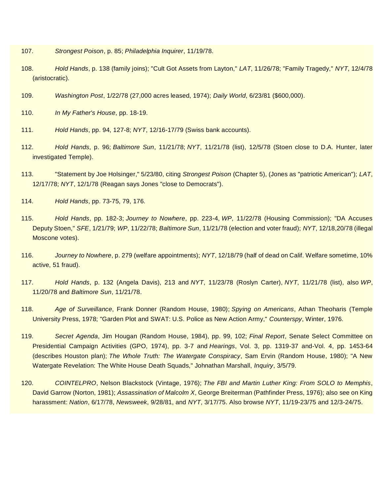- 107. *Strongest Poison*, p. 85; *Philadelphia Inquirer*, 11/19/78.
- 108. *Hold Hands*, p. 138 (family joins); "Cult Got Assets from Layton," *LAT*, 11/26/78; "Family Tragedy," *NYT*, 12/4/78 (aristocratic).
- 109. *Washington Post*, 1/22/78 (27,000 acres leased, 1974); *Daily World*, 6/23/81 (\$600,000).
- 110. *In My Father's House*, pp. 18-19.
- 111. *Hold Hands*, pp. 94, 127-8; *NYT*, 12/16-17/79 (Swiss bank accounts).
- 112. *Hold Hands*, p. 96; *Baltimore Sun*, 11/21/78; *NYT*, 11/21/78 (list), 12/5/78 (Stoen close to D.A. Hunter, later investigated Temple).
- 113. "Statement by Joe Holsinger," 5/23/80, citing *Strongest Poison* (Chapter 5), (Jones as "patriotic American"); *LAT*, 12/17/78; *NYT*, 12/1/78 (Reagan says Jones "close to Democrats").
- 114. *Hold Hands*, pp. 73-75, 79, 176.
- 115. *Hold Hands*, pp. 182-3; *Journey to Nowhere*, pp. 223-4, *WP*, 11/22/78 (Housing Commission); "DA Accuses Deputy Stoen," *SFE*, 1/21/79; *WP*, 11/22/78; *Baltimore Sun*, 11/21/78 (election and voter fraud); *NYT*, 12/18,20/78 (illegal Moscone votes).
- 116. *Journey to Nowhere*, p. 279 (welfare appointments); *NYT*, 12/18/79 (half of dead on Calif. Welfare sometime, 10% active, 51 fraud).
- 117. *Hold Hands*, p. 132 (Angela Davis), 213 and *NYT*, 11/23/78 (Roslyn Carter), *NYT*, 11/21/78 (list), also *WP*, 11/20/78 and *Baltimore Sun*, 11/21/78.
- 118. *Age of Surveillance*, Frank Donner (Random House, 1980); *Spying on Americans*, Athan Theoharis (Temple University Press, 1978; "Garden Plot and SWAT: U.S. Police as New Action Army," *Counterspy*, Winter, 1976.
- 119. *Secret Agenda*, Jim Hougan (Random House, 1984), pp. 99, 102; *Final Report*, Senate Select Committee on Presidential Campaign Activities (GPO, 1974), pp. 3-7 and *Hearings*, Vol. 3, pp. 1319-37 and-Vol. 4, pp. 1453-64 (describes Houston plan); *The Whole Truth: The Watergate Conspiracy*, Sam Ervin (Random House, 1980); "A New Watergate Revelation: The White House Death Squads," Johnathan Marshall, *Inquiry*, 3/5/79.
- 120. *COINTELPRO*, Nelson Blackstock (Vintage, 1976); *The FBI and Martin Luther King: From SOLO to Memphis*, David Garrow (Norton, 1981); *Assassination of Malcolm X*, George Breiterman (Pathfinder Press, 1976); also see on King harassment: *Nation*, 6/17/78, *Newsweek*, 9/28/81, and *NYT*, 3/17/75. Also browse *NYT*, 11/19-23/75 and 12/3-24/75.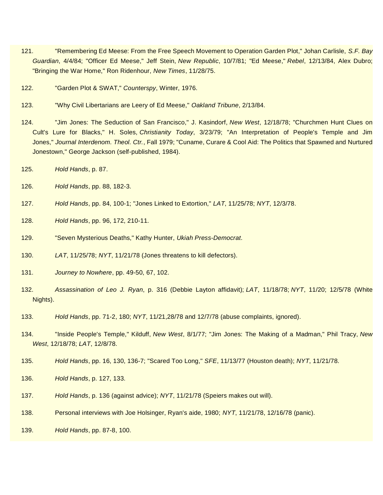- 121. "Remembering Ed Meese: From the Free Speech Movement to Operation Garden Plot," Johan Carlisle, *S.F. Bay Guardian*, 4/4/84; "Officer Ed Meese," Jeff Stein, *New Republic*, 10/7/81; "Ed Meese," *Rebel*, 12/13/84, Alex Dubro; "Bringing the War Home," Ron Ridenhour, *New Times*, 11/28/75.
- 122. "Garden Plot & SWAT," *Counterspy*, Winter, 1976.
- 123. "Why Civil Libertarians are Leery of Ed Meese," *Oakland Tribune*, 2/13/84.
- 124. "Jim Jones: The Seduction of San Francisco," J. Kasindorf, *New West*, 12/18/78; "Churchmen Hunt Clues on Cult's Lure for Blacks," H. Soles, *Christianity Today*, 3/23/79; "An Interpretation of People's Temple and Jim Jones," *Journal Interdenom. Theol. Ctr.*, Fall 1979; "Cuname, Curare & Cool Aid: The Politics that Spawned and Nurtured Jonestown," George Jackson (self-published, 1984).
- 125. *Hold Hands*, p. 87.
- 126. *Hold Hands*, pp. 88, 182-3.
- 127. *Hold Hands*, pp. 84, 100-1; "Jones Linked to Extortion," *LAT*, 11/25/78; *NYT*, 12/3/78.
- 128. *Hold Hands*, pp. 96, 172, 210-11.
- 129. "Seven Mysterious Deaths," Kathy Hunter, *Ukiah Press-Democrat*.
- 130. *LAT*, 11/25/78; *NYT*, 11/21/78 (Jones threatens to kill defectors).
- 131. *Journey to Nowhere*, pp. 49-50, 67, 102.
- 132. *Assassination of Leo J. Ryan*, p. 316 (Debbie Layton affidavit); *LAT*, 11/18/78; *NYT*, 11/20; 12/5/78 (White Nights).
- 133. *Hold Hands*, pp. 71-2, 180; *NYT*, 11/21,28/78 and 12/7/78 (abuse complaints, ignored).
- 134. "Inside People's Temple," Kilduff, *New West*, 8/1/77; "Jim Jones: The Making of a Madman," Phil Tracy, *New West*, 12/18/78; *LAT*, 12/8/78.
- 135. *Hold Hands*, pp. 16, 130, 136-7; "Scared Too Long," *SFE*, 11/13/77 (Houston death); *NYT*, 11/21/78.
- 136. *Hold Hands*, p. 127, 133.
- 137. *Hold Hands*, p. 136 (against advice); *NYT*, 11/21/78 (Speiers makes out will).
- 138. Personal interviews with Joe Holsinger, Ryan's aide, 1980; *NYT*, 11/21/78, 12/16/78 (panic).
- 139. *Hold Hands*, pp. 87-8, 100.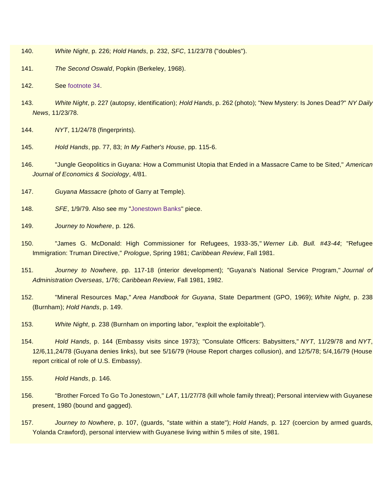- 140. *White Night*, p. 226; *Hold Hands*, p. 232, *SFC*, 11/23/78 ("doubles").
- 141. *The Second Oswald*, Popkin (Berkeley, 1968).
- 142. See [footnote 34.](https://ratical.org/ratville/JFK/JohnJudge/Jonestown.html#fn34)
- 143. *White Night*, p. 227 (autopsy, identification); *Hold Hands*, p. 262 (photo); "New Mystery: Is Jones Dead?" *NY Daily News*, 11/23/78.
- 144. *NYT*, 11/24/78 (fingerprints).
- 145. *Hold Hands*, pp. 77, 83; *In My Father's House*, pp. 115-6.
- 146. "Jungle Geopolitics in Guyana: How a Communist Utopia that Ended in a Massacre Came to be Sited," *American Journal of Economics & Sociology*, 4/81.
- 147. *Guyana Massacre* (photo of Garry at Temple).
- 148. *SFE*, 1/9/79. Also see my ["Jonestown Banks"](https://ratical.org/ratville/JFK/JohnJudge/JonestownBanks.html) piece.
- 149. *Journey to Nowhere*, p. 126.
- 150. "James G. McDonald: High Commissioner for Refugees, 1933-35," *Werner Lib. Bull. #43-44*; "Refugee Immigration: Truman Directive," *Prologue*, Spring 1981; *Caribbean Review*, Fall 1981.
- 151. *Journey to Nowhere*, pp. 117-18 (interior development); "Guyana's National Service Program," *Journal of Administration Overseas*, 1/76; *Caribbean Review*, Fall 1981, 1982.
- 152. "Mineral Resources Map," *Area Handbook for Guyana*, State Department (GPO, 1969); *White Night*, p. 238 (Burnham); *Hold Hands*, p. 149.
- 153. *White Night*, p. 238 (Burnham on importing labor, "exploit the exploitable").
- 154. *Hold Hands*, p. 144 (Embassy visits since 1973); "Consulate Officers: Babysitters," *NYT*, 11/29/78 and *NYT*, 12/6,11,24/78 (Guyana denies links), but see 5/16/79 (House Report charges collusion), and 12/5/78; 5/4,16/79 (House report critical of role of U.S. Embassy).
- 155. *Hold Hands*, p. 146.
- 156. "Brother Forced To Go To Jonestown," *LAT*, 11/27/78 (kill whole family threat); Personal interview with Guyanese present, 1980 (bound and gagged).
- 157. *Journey to Nowhere*, p. 107, (guards, "state within a state"); *Hold Hands*, p. 127 (coercion by armed guards, Yolanda Crawford), personal interview with Guyanese living within 5 miles of site, 1981.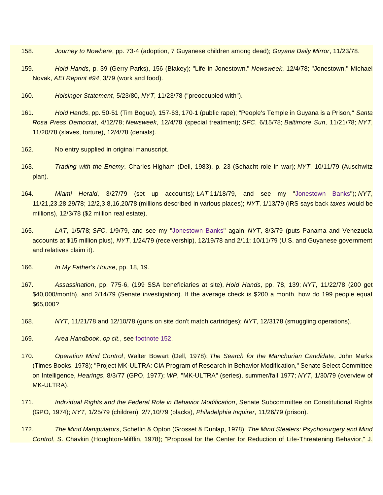- 158. *Journey to Nowhere*, pp. 73-4 (adoption, 7 Guyanese children among dead); *Guyana Daily Mirror*, 11/23/78.
- 159. *Hold Hands*, p. 39 (Gerry Parks), 156 (Blakey); "Life in Jonestown," *Newsweek*, 12/4/78; "Jonestown," Michael Novak, *AEI Reprint #94*, 3/79 (work and food).
- 160. *Holsinger Statement*, 5/23/80, *NYT*, 11/23/78 ("preoccupied with").
- 161. *Hold Hands*, pp. 50-51 (Tim Bogue), 157-63, 170-1 (public rape); "People's Temple in Guyana is a Prison," *Santa Rosa Press Democrat*, 4/12/78; *Newsweek*, 12/4/78 (special treatment); *SFC*, 6/15/78; *Baltimore Sun*, 11/21/78; *NYT*, 11/20/78 (slaves, torture), 12/4/78 (denials).
- 162. No entry supplied in original manuscript.
- 163. *Trading with the Enemy*, Charles Higham (Dell, 1983), p. 23 (Schacht role in war); *NYT*, 10/11/79 (Auschwitz plan).
- 164. *Miami Herald*, 3/27/79 (set up accounts); *LAT* 11/18/79, and see my ["Jonestown Banks"](https://ratical.org/ratville/JFK/JohnJudge/JonestownBanks.html)); *NYT*, 11/21,23,28,29/78; 12/2,3,8,16,20/78 (millions described in various places); *NYT*, 1/13/79 (IRS says back *taxes* would be millions), 12/3/78 (\$2 million real estate).
- 165. *LAT*, 1/5/78; *SFC*, 1/9/79, and see my ["Jonestown Banks"](https://ratical.org/ratville/JFK/JohnJudge/JonestownBanks.html) again; *NYT*, 8/3/79 (puts Panama and Venezuela accounts at \$15 million plus), *NYT*, 1/24/79 (receivership), 12/19/78 and 2/11; 10/11/79 (U.S. and Guyanese government and relatives claim it).
- 166. *In My Father's House*, pp. 18, 19.
- 167. *Assassination*, pp. 775-6, (199 SSA beneficiaries at site), *Hold Hands*, pp. 78, 139; *NYT*, 11/22/78 (200 get \$40,000/month), and 2/14/79 (Senate investigation). If the average check is \$200 a month, how do 199 people equal \$65,000?
- 168. *NYT*, 11/21/78 and 12/10/78 (guns on site don't match cartridges); *NYT*, 12/3178 (smuggling operations).
- 169. *Area Handbook*, *op cit.*, see [footnote 152.](https://ratical.org/ratville/JFK/JohnJudge/Jonestown.html#fn152)
- 170. *Operation Mind Control*, Walter Bowart (Dell, 1978); *The Search for the Manchurian Candidate*, John Marks (Times Books, 1978); "Project MK-ULTRA: CIA Program of Research in Behavior Modification," Senate Select Committee on Intelligence, *Hearings*, 8/3/77 (GPO, 1977); *WP*, "MK-ULTRA" (series), summer/fall 1977; *NYT*, 1/30/79 (overview of MK-ULTRA).
- 171. *Individual Rights and the Federal Role in Behavior Modification*, Senate Subcommittee on Constitutional Rights (GPO, 1974); *NYT*, 1/25/79 (children), 2/7,10/79 (blacks), *Philadelphia Inquirer*, 11/26/79 (prison).
- 172. *The Mind Manipulators*, Scheflin & Opton (Grosset & Dunlap, 1978); *The Mind Stealers: Psychosurgery and Mind Control*, S. Chavkin (Houghton-Mifflin, 1978); "Proposal for the Center for Reduction of Life-Threatening Behavior," J.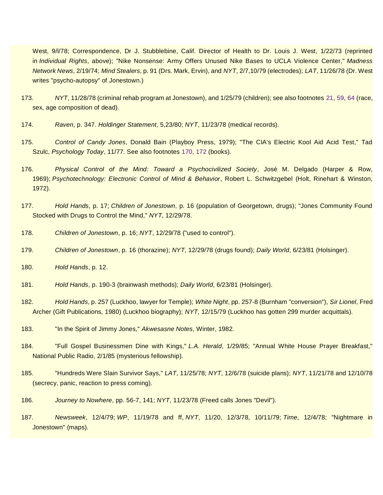West, 9/l/78; Correspondence, Dr J. Stubblebine, Calif. Director of Health to Dr. Louis J. West, 1/22/73 (reprinted in *Individual Rights*, above); "Nike Nonsense: Army Offers Unused Nike Bases to UCLA Violence Center," *Madness Network News*, 2/19/74; *Mind Stealers*, p. 91 (Drs. Mark, Ervin), and *NYT*, 2/7,10/79 (electrodes); *LAT*, 11/26/78 (Dr. West writes "psycho-autopsy" of Jonestown.)

- 173. *NYT*, 11/28/78 (criminal rehab program at Jonestown), and 1/25/79 (children); see also footnotes [21,](https://ratical.org/ratville/JFK/JohnJudge/Jonestown.html#fn21) [59,](https://ratical.org/ratville/JFK/JohnJudge/Jonestown.html#fn59) [64](https://ratical.org/ratville/JFK/JohnJudge/Jonestown.html#fn64) (race, sex, age composition of dead).
- 174. *Raven*, p. 347. *Holdinger Statement*, 5,23/80; *NYT*, 11/23/78 (medical records).
- 175. *Control of Candy Jones*, Donald Bain (Playboy Press, 1979); "The CIA's Electric Kool Aid Acid Test," Tad Szulc, *Psychology Today*, 11/77. See also footnotes [170,](https://ratical.org/ratville/JFK/JohnJudge/Jonestown.html#fn170) [172](https://ratical.org/ratville/JFK/JohnJudge/Jonestown.html#fn172) (books).
- 176. *Physical Control of the Mind: Toward a Psychocivilized Society*, José M. Delgado (Harper & Row, 1969); *Psychotechnology: Electronic Control of Mind & Behavior*, Robert L. Schwitzgebel (Holt, Rinehart & Winston, 1972).
- 177. *Hold Hands*, p. 17; *Children of Jonestown*, p. 16 (population of Georgetown, drugs); "Jones Community Found Stocked with Drugs to Control the Mind," *NYT*, 12/29/78.
- 178. *Children of Jonestown*, p. 16; *NYT*, 12/29/78 ("used to control").
- 179. *Children of Jonestown*, p. 16 (thorazine); *NYT*, 12/29/78 (drugs found); *Daily World*, 6/23/81 (Holsinger).
- 180. *Hold Hands*, p. 12.
- 181. *Hold Hands*, p. 190-3 (brainwash methods); *Daily World*, 6/23/81 (Holsinger).
- 182. *Hold Hands*, p. 257 (Luckhoo, lawyer for Temple); *White Night*, pp. 257-8 (Burnham "conversion"), *Sir Lionel*, Fred Archer (Gift Publications, 1980) (Luckhoo biography); *NYT*, 12/15/79 (Luckhoo has gotten 299 murder acquittals).
- 183. "In the Spirit of Jimmy Jones," *Akwesasne Notes*, Winter, 1982.
- 184. "Full Gospel Businessmen Dine with Kings," *L.A. Herald*, 1/29/85; "Annual White House Prayer Breakfast," National Public Radio, 2/1/85 (mysterious fellowship).
- 185. "Hundreds Were Slain Survivor Says," *LAT*, 11/25/78; *NYT*, 12/6/78 (suicide plans); *NYT*, 11/21/78 and 12/10/78 (secrecy, panic, reaction to press coming).
- 186. *Journey to Nowhere*, pp. 56-7, 141; *NYT*, 11/23/78 (Freed calls Jones "Devil").
- 187. *Newsweek*, 12/4/79; *WP*, 11/19/78 and ff, *NYT*, 11/20, 12/3/78, 10/11/79; *Time*, 12/4/78; "Nightmare in Jonestown" (maps).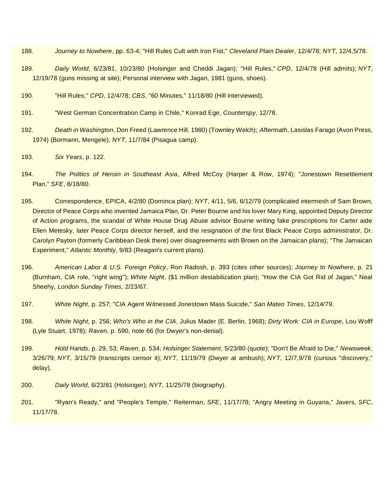- 188. *Journey to Nowhere*, pp. 63-4; "Hill Rules Cult with Iron Fist," *Cleveland Plain Dealer*, 12/4/78; *NYT*, 12/4,5/78.
- 189. *Daily World*, 6/23/81, 10/23/80 (Holsinger and Cheddi Jagan); "Hill Rules," *CPD*, 12/4/78 (Hill admits); *NYT*, 12/19/78 (guns missing at site); Personal interview with Jagan, 1981 (guns, shoes).
- 190. "Hill Rules," *CPD*, 12/4/78; *CBS*, "60 Minutes," 11/18/80 (Hill interviewed).
- 191. "West German Concentration Camp in Chile," Konrad Ege, *Counterspy*, 12/78.
- 192. *Death in Washington*, Don Freed (Lawrence Hill, 1980) (Townley Welch); *Aftermath*, Lasislas Farago (Avon Press, 1974) (Bormann, Mengele); *NYT*, 11/7/84 (Pisagua camp).
- 193. *Six Years*, p. 122.
- 194. *The Politics of Heroin in Southeast Asia*, Alfred McCoy (Harper & Row, 1974); "Jonestown Resettlement Plan," *SFE*, 8/18/80.
- 195. Correspondence, EPICA, 4/2/80 (Dominca plan); *NYT*, 4/11, 5/6, 6/12/79 (complicated intermesh of Sam Brown, Director of Peace Corps who invented Jamaica Plan, Dr. Peter Bourne and his lover Mary King, appointed Deputy Director of Action programs, the scandal of White House Drug Abuse advisor Bourne writing fake prescriptions for Carter aide Ellen Metesky, later Peace Corps director herself, and the resignation of the first Black Peace Corps administrator, Dr. Carolyn Payton (formerly Caribbean Desk there) over disagreements with Brown on the Jamaican plans); "The Jamaican Experiment," *Atlantic Monthly*, 9/83 (Reagan's current plans).
- 196. *American Labor & U.S. Foreign Policy*, Ron Radosh, p. 393 (cites other sources); *Journey to Nowhere*, p. 21 (Burnham, CIA role, "right wing"); *White Night*, (\$1 million destabilization plan); "How the CIA Got Rid of Jagan," Neal Sheehy, *London Sunday Times*, 2/23/67.
- 197. *White Night*, p. 257; "CIA Agent Witnessed Jonestown Mass Suicide," *San Mateo Times*, 12/14/79.
- 198. *White Night*, p. 256; *Who's Who in the CIA*, Julius Mader (E. Berlin, 1968); *Dirty Work: CIA in Europe*, Lou Wolff (Lyle Stuart, 1978); *Raven*, p. 590, note 66 (for Dwyer's non-denial).
- 199. *Hold Hands*, p. 29, 53; *Raven*, p. 534; *Holsinger Statement*, 5/23/80 (quote); "Don't Be Afraid to Die," *Newsweek*, 3/26/79; *NYT*, 3/15/79 (transcripts censor it); *NYT*, 11/19/79 (Dwyer at ambush); *NYT*, 12/7,9/78 (curious "discovery," delay).
- 200. *Daily World*, 6/23/81 (Holsinger); *NYT*, 11/25/78 (biography).
- 201. "Ryan's Ready," and "People's Temple," Reiterman, *SFE*, 11/17/78; "Angry Meeting in Guyana," Javers, *SFC*, 11/17/78.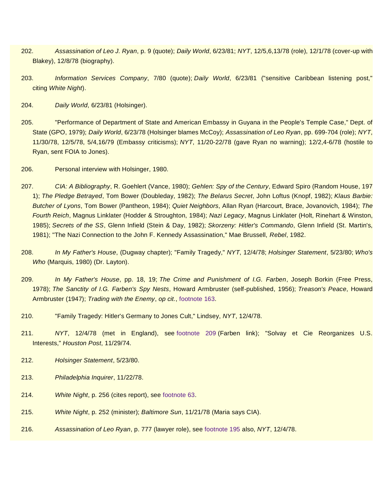- 202. *Assassination of Leo J. Ryan*, p. 9 (quote); *Daily World*, 6/23/81; *NYT*, 12/5,6,13/78 (role), 12/1/78 (cover-up with Blakey), 12/8/78 (biography).
- 203. *Information Services Company*, 7/80 (quote); *Daily World*, 6/23/81 ("sensitive Caribbean listening post," citing *White Night*).
- 204. *Daily World*, 6/23/81 (Holsinger).
- 205. "Performance of Department of State and American Embassy in Guyana in the People's Temple Case," Dept. of State (GPO, 1979); *Daily World*, 6/23/78 (Holsinger blames McCoy); *Assassination of Leo Ryan*, pp. 699-704 (role); *NYT*, 11/30/78, 12/5/78, 5/4,16/79 (Embassy criticisms); *NYT*, 11/20-22/78 (gave Ryan no warning); 12/2,4-6/78 (hostile to Ryan, sent FOIA to Jones).
- 206. Personal interview with Holsinger, 1980.
- 207. *CIA: A Bibliography*, R. Goehlert (Vance, 1980); *Gehlen: Spy of the Century*, Edward Spiro (Random House, 197 1); *The Pledge Betrayed*, Tom Bower (Doubleday, 1982); *The Belarus Secret*, John Loftus (Knopf, 1982); *Klaus Barbie: Butcher of Lyons*, Tom Bower (Pantheon, 1984); *Quiet Neighbors*, Allan Ryan (Harcourt, Brace, Jovanovich, 1984); *The Fourth Reich*, Magnus Linklater (Hodder & Stroughton, 1984); *Nazi Legacy*, Magnus Linklater (Holt, Rinehart & Winston, 1985); *Secrets of the SS*, Glenn Infield (Stein & Day, 1982); *Skorzeny: Hitler's Commando*, Glenn Infield (St. Martin's, 1981); "The Nazi Connection to the John F. Kennedy Assassination," Mae Brussell, *Rebel*, 1982.
- 208. *In My Father's House*, (Dugway chapter); "Family Tragedy," *NYT*, 12/4/78; *Holsinger Statement*, 5/23/80; *Who's Who* (Marquis, 1980) (Dr. Layton).
- 209. *In My Father's House*, pp. 18, 19; *The Crime and Punishment of I.G. Farben*, Joseph Borkin (Free Press, 1978); *The Sanctity of I.G. Farben's Spy Nests*, Howard Armbruster (self-published, 1956); *Treason's Peace*, Howard Armbruster (1947); *Trading with the Enemy*, *op cit.*, [footnote 163.](https://ratical.org/ratville/JFK/JohnJudge/Jonestown.html#fn163)
- 210. "Family Tragedy: Hitler's Germany to Jones Cult," Lindsey, *NYT*, 12/4/78.
- 211. *NYT*, 12/4/78 (met in England), see [footnote 209](https://ratical.org/ratville/JFK/JohnJudge/Jonestown.html#fn209) (Farben link); "Solvay et Cie Reorganizes U.S. Interests," *Houston Post*, 11/29/74.
- 212. *Holsinger Statement*, 5/23/80.
- 213. *Philadelphia Inquirer*, 11/22/78.
- 214. *White Night*, p. 256 (cites report), see [footnote 63.](https://ratical.org/ratville/JFK/JohnJudge/Jonestown.html#fn63)
- 215. *White Night*, p. 252 (minister); *Baltimore Sun*, 11/21/78 (Maria says CIA).
- 216. *Assassination of Leo Ryan*, p. 777 (lawyer role), see [footnote 195](https://ratical.org/ratville/JFK/JohnJudge/Jonestown.html#fn195) also, *NYT*, 12/4/78.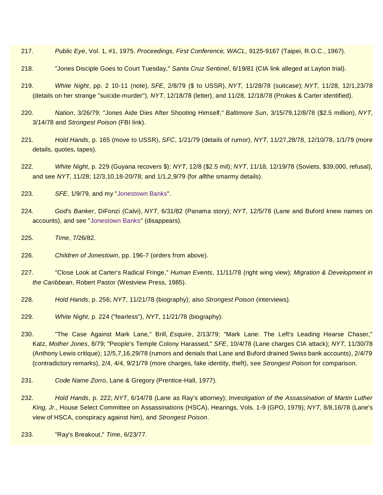- 217. *Public Eye*, Vol. 1, #1, 1975. *Proceedings, First Conference, WACL*, 9125-9167 (Taipei, R.O.C., 1967).
- 218. "Jones Disciple Goes to Court Tuesday," *Santa Cruz Sentinel*, 6/19/81 (CIA link alleged at Layton trial).
- 219. *White Night*, pp. 2 10-11 (note), *SFE*, 2/8/79 (\$ to USSR), *NYT*, 11/28/78 (suitcase); *NYT*, 11/28, 12/1,23/78 (details on her strange "suicide-murder"), *NYT*, 12/18/78 (letter), and 11/28, 12/18/78 (Prokes & Carter identified).
- 220. *Nation*, 3/26/79; "Jones Aide Dies After Shooting Himself," *Baltimore Sun*, 3/15/79,12/8/78 (\$2.5 million), *NYT*, 3/14/78 and *Strongest Poison* (FBI link).
- 221. *Hold Hands*, p. 165 (move to USSR), *SFC*, 1/21/79 (details of rumor), *NYT*, 11/27,28/78, 12/10/78, 1/1/79 (more details, quotes, tapes).
- 222. *White Night*, p. 229 (Guyana recovers \$); *NYT*, 12/8 (\$2.5 mil); *NYT*, 11/18, 12/19/78 (Soviets, \$39,000, refusal), and see *NYT*, 11/28; 12/3,10,18-20/78; and 1/1,2,9/79 (for *all*the smarmy details).
- 223. *SFE*, 1/9/79, and my ["Jonestown Banks"](https://ratical.org/ratville/JFK/JohnJudge/JonestownBanks.html).
- 224. *God's Banker*, DiFonzi (Calvi), *NYT*, 6/31/82 (Panama story); *NYT*, 12/5/78 (Lane and Buford knew names on accounts), and see ["Jonestown Banks"](https://ratical.org/ratville/JFK/JohnJudge/JonestownBanks.html) (disappears).
- 225. *Time*, 7/26/82.
- 226. *Children of Jonestown*, pp. 196-7 (orders from above).
- 227. "Close Look at Carter's Radical Fringe," *Human Events*, 11/11/78 (right wing view); *Migration & Development in the Caribbean*, Robert Pastor (Westview Press, 1985).
- 228. *Hold Hands*, p. 256; *NYT*, 11/21/78 (biography); also *Strongest Poison* (interviews).
- 229. *White Night*, p. 224 ("fearless"), *NYT*, 11/21/78 (biography).
- 230. "The Case Against Mark Lane," Brill, *Esquire*, 2/13/79; "Mark Lane: The Left's Leading Hearse Chaser," Katz, *Mother Jones*, 8/79; "People's Temple Colony Harassed," *SFE*, 10/4/78 (Lane charges CIA attack); *NYT*, 11/30/78 (Anthony Lewis critique); 12/5,7,16,29/78 (rumors and denials that Lane and Buford drained Swiss bank accounts), 2/4/79 (contradictory remarks), 2/4, 4/4, 9/21/79 (more charges, fake identity, theft), see *Strongest Poison* for comparison.
- 231. *Code Name Zorro*, Lane & Gregory (Prentice-Hall, 1977).
- 232. *Hold Hands*, p. 222; *NYT*, 6/14/78 (Lane as Ray's attorney); *Investigation of the Assassination of Martin Luther King, Jr.*, House Select Committee on Assassinations (HSCA), Hearings, Vols. 1-9 (GPO, 1979); *NYT*, 8/8,16/78 (Lane's view of HSCA, conspiracy against him), and *Strongest Poison*.

233. "Ray's Breakout," *Time*, 6/23/77.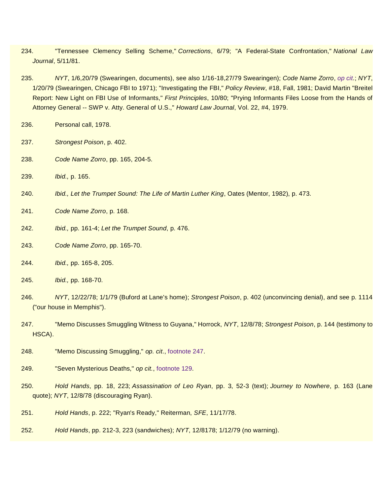- 234. "Tennessee Clemency Selling Scheme," *Corrections*, 6/79; "A Federal-State Confrontation," *National Law Journal*, 5/11/81.
- 235. *NYT*, 1/6,20/79 (Swearingen, documents), see also 1/16-18,27/79 Swearingen); *Code Name Zorro*, *[op cit](https://ratical.org/ratville/JFK/JohnJudge/Jonestown.html#fn231)*.; *NYT*, 1/20/79 (Swearingen, Chicago FBI to 1971); "Investigating the FBI," *Policy Review*, #18, Fall, 1981; David Martin "Breitel Report: New Light on FBI Use of Informants," *First Principles*, 10/80; "Prying Informants Files Loose from the Hands of Attorney General -- SWP v. Atty. General of U.S.," *Howard Law Journal*, Vol. 22, #4, 1979.
- 236. Personal call, 1978.
- 237. *Strongest Poison*, p. 402.
- 238. *Code Name Zorro*, pp. 165, 204-5.
- 239. *Ibid.,* p. 165.
- 240. *Ibid., Let the Trumpet Sound: The Life of Martin Luther King*, Oates (Mentor, 1982), p. 473.
- 241. *Code Name Zorro*, p. 168.
- 242. *Ibid.,* pp. 161-4; *Let the Trumpet Sound*, p. 476.
- 243. *Code Name Zorro*, pp. 165-70.
- 244. *Ibid.,* pp. 165-8, 205.
- 245. *Ibid.,* pp. 168-70.
- 246. *NYT*, 12/22/78; 1/1/79 (Buford at Lane's home); *Strongest Poison*, p. 402 (unconvincing denial), and see p. 1114 ("our house in Memphis").
- 247. "Memo Discusses Smuggling Witness to Guyana," Horrock, *NYT*, 12/8/78; *Strongest Poison*, p. 144 (testimony to HSCA).
- 248. "Memo Discussing Smuggling," *op. cit*., [footnote 247.](https://ratical.org/ratville/JFK/JohnJudge/Jonestown.html#fn247)
- 249. "Seven Mysterious Deaths," *op cit.*, [footnote 129.](https://ratical.org/ratville/JFK/JohnJudge/Jonestown.html#fn129)
- 250. *Hold Hands*, pp. 18, 223; *Assassination of Leo Ryan*, pp. 3, 52-3 (text); *Journey to Nowhere*, p. 163 (Lane quote); *NYT*, 12/8/78 (discouraging Ryan).
- 251. *Hold Hands*, p. 222; "Ryan's Ready," Reiterman, *SFE*, 11/17/78.
- 252. *Hold Hands*, pp. 212-3, 223 (sandwiches); *NYT*, 12/8178; 1/12/79 (no warning).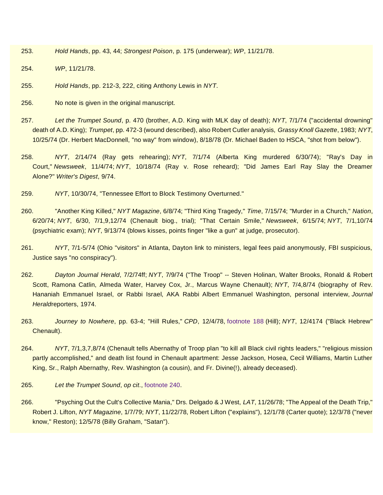- 253. *Hold Hands*, pp. 43, 44; *Strongest Poison*, p. 175 (underwear); *WP*, 11/21/78.
- 254. *WP*, 11/21/78.
- 255. *Hold Hands*, pp. 212-3, 222, citing Anthony Lewis in *NYT*.
- 256. No note is given in the original manuscript.
- 257. *Let the Trumpet Sound*, p. 470 (brother, A.D. King with MLK day of death); *NYT*, 7/1/74 ("accidental drowning" death of A.D. King); *Trumpet*, pp. 472-3 (wound described), also Robert Cutler analysis, *Grassy Knoll Gazette*, 1983; *NYT*, 10/25/74 (Dr. Herbert MacDonnell, "no way" from window), 8/18/78 (Dr. Michael Baden to HSCA, "shot from below").
- 258. *NYT*, 2/14/74 (Ray gets rehearing); *NYT*, 7/1/74 (Alberta King murdered 6/30/74); "Ray's Day in Court," *Newsweek*, 11/4/74; *NYT*, 10/18/74 (Ray v. Rose reheard); "Did James Earl Ray Slay the Dreamer Alone?" *Writer's Digest*, 9/74.
- 259. *NYT*, 10/30/74, "Tennessee Effort to Block Testimony Overturned."
- 260. "Another King Killed," *NYT Magazine*, 6/8/74; "Third King Tragedy," *Time*, 7/15/74; "Murder in a Church," *Nation*, 6/20/74; *NYT*, 6/30, 7/1,9,12/74 (Chenault biog., trial); "That Certain Smile," *Newsweek*, 6/15/74; *NYT*, 7/1,10/74 (psychiatric exam); *NYT*, 9/13/74 (blows kisses, points finger "like a gun" at judge, prosecutor).
- 261. *NYT*, 7/1-5/74 (Ohio "visitors" in Atlanta, Dayton link to ministers, legal fees paid anonymously, FBI suspicious, Justice says "no conspiracy").
- 262. *Dayton Journal Herald*, 7/2/74ff; *NYT*, 7/9/74 ("The Troop" -- Steven Holinan, Walter Brooks, Ronald & Robert Scott, Ramona Catlin, Almeda Water, Harvey Cox, Jr., Marcus Wayne Chenault); *NYT*, 7/4,8/74 (biography of Rev. Hananiah Emmanuel Israel, or Rabbi Israel, AKA Rabbi Albert Emmanuel Washington, personal interview, *Journal Herald*reporters, 1974.
- 263. *Journey to Nowhere*, pp. 63-4; "Hill Rules," *CPD*, 12/4/78, [footnote 188](https://ratical.org/ratville/JFK/JohnJudge/Jonestown.html#fn188) (Hill); *NYT*, 12/4174 ("Black Hebrew" Chenault).
- 264. *NYT*, 7/1,3,7,8/74 (Chenault tells Abernathy of Troop plan "to kill all Black civil rights leaders," "religious mission partly accomplished," and death list found in Chenault apartment: Jesse Jackson, Hosea, Cecil Williams, Martin Luther King, Sr., Ralph Abernathy, Rev. Washington (a cousin), and Fr. Divine(!), already deceased).
- 265. *Let the Trumpet Sound*, *op cit*., [footnote 240.](https://ratical.org/ratville/JFK/JohnJudge/Jonestown.html#fn240)
- 266. "Psyching Out the Cult's Collective Mania," Drs. Delgado & J West, *LAT*, 11/26/78; "The Appeal of the Death Trip," Robert J. Lifton, *NYT Magazine*, 1/7/79; *NYT*, 11/22/78, Robert Lifton ("explains"), 12/1/78 (Carter quote); 12/3/78 ("never know," Reston); 12/5/78 (Billy Graham, "Satan").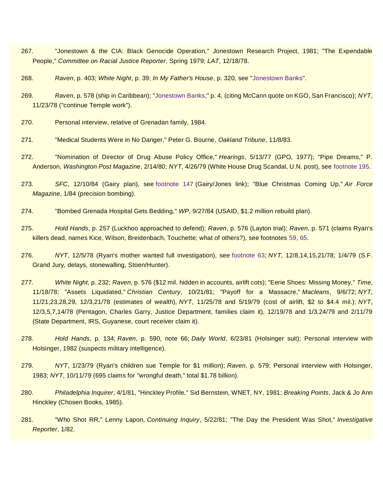- 267. "Jonestown & the CIA: Black Genocide Operation," Jonestown Research Project, 1981; "The Expendable People," *Committee on Racial Justice Reporter*, Spring 1979; *LAT*, 12/18/78.
- 268. *Raven*, p. 403; *White Night*, p. 39; *In My Father's House*, p. 320, see ["Jonestown Banks"](https://ratical.org/ratville/JFK/JohnJudge/JonestownBanks.html).
- 269. *Raven*, p. 578 (ship in Caribbean); ["Jonestown Banks,](https://ratical.org/ratville/JFK/JohnJudge/JonestownBanks.html)" p. 4, (citing McCann quote on KGO, San Francisco); *NYT*, 11/23/78 ("continue Temple work").
- 270. Personal interview, relative of Grenadan family, 1984.
- 271. "Medical Students Were in No Danger," Peter G. Bourne, *Oakland Tribune*, 11/8/83.
- 272. "Nomination of Director of Drug Abuse Policy Office," *Hearings*, 5/13/77 (GPO, 1977); "Pipe Dreams," P. Anderson, *Washington Post Magazine*, 2/14/80; *NYT*, 4/26/79 (White House Drug Scandal, U.N. post), see [footnote 195.](https://ratical.org/ratville/JFK/JohnJudge/Jonestown.html#fn195)
- 273. *SFC*, 12/10/84 (Gairy plan), see [footnote 147](https://ratical.org/ratville/JFK/JohnJudge/Jonestown.html#fn147) (Gairy/Jones link); "Blue Christmas Coming Up," *Air Force Magazine*, 1/84 (precision bombing).
- 274. "Bombed Grenada Hospital Gets Bedding," *WP*, 9/27/84 (USAID, \$1.2 million rebuild plan).
- 275. *Hold Hands*, p. 257 (Luckhoo approached to defend); *Raven*, p. 576 (Layton trial); *Raven*, p. 571 (claims Ryan's killers dead, names Kice, Wilson, Breidenbach, Touchette; what of others?), see footnotes [59,](https://ratical.org/ratville/JFK/JohnJudge/Jonestown.html#fn59) [65.](https://ratical.org/ratville/JFK/JohnJudge/Jonestown.html#fn65)
- 276. *NYT*, 12/5/78 (Ryan's mother wanted full investigation), see [footnote 63;](https://ratical.org/ratville/JFK/JohnJudge/Jonestown.html#fn63) *NYT*, 12/8,14,15,21/78; 1/4/79 (S.F. Grand Jury, delays, stonewalling, Stoen/Hunter).
- 277. *White Night*, p. 232; *Raven*, p. 576 (\$12 mil. hidden in accounts, airlift cots); "Eerie Shoes: Missing Money," *Time*, 11/18/78; "Assets Liquidated," *Christian Century*, 10/21/81; "Payoff for a Massacre," *Macleans*, 9/6/72; *NYT*, 11/21,23,28,29, 12/3,21/78 (estimates of wealth), *NYT*, 11/25/78 and 5/19/79 (cost of airlift, \$2 to \$4.4 mil.); *NYT*, 12/3,5,7,14/78 (Pentagon, Charles Garry, Justice Department, families claim it), 12/19/78 and 1/3,24/79 and 2/11/79 (State Department, IRS, Guyanese, court receiver claim it).
- 278. *Hold Hands*, p. 134; *Raven*, p. 590, note 66; *Daily World*, 6/23/81 (Holsinger suit); Personal interview with Holsinger, 1982 (suspects military intelligence).
- 279. *NYT*, 1/23/79 (Ryan's children sue Temple for \$1 million); *Raven*, p. 579; Personal interview with Holsinger, 1983; *NYT*, 10/11/79 (695 claims for "wrongful death," total \$1.78 billion).
- 280. *Philadelphia Inquirer*, 4/1/81, "Hinckley Profile," Sid Bernstein, WNET, NY, 1981; *Breaking Points*, Jack & Jo Ann Hinckley (Chosen Books, 1985).
- 281. "Who Shot RR," Lenny Lapon, *Continuing Inquiry*, 5/22/81; "The Day the President Was Shot," *Investigative Reporter*, 1/82.